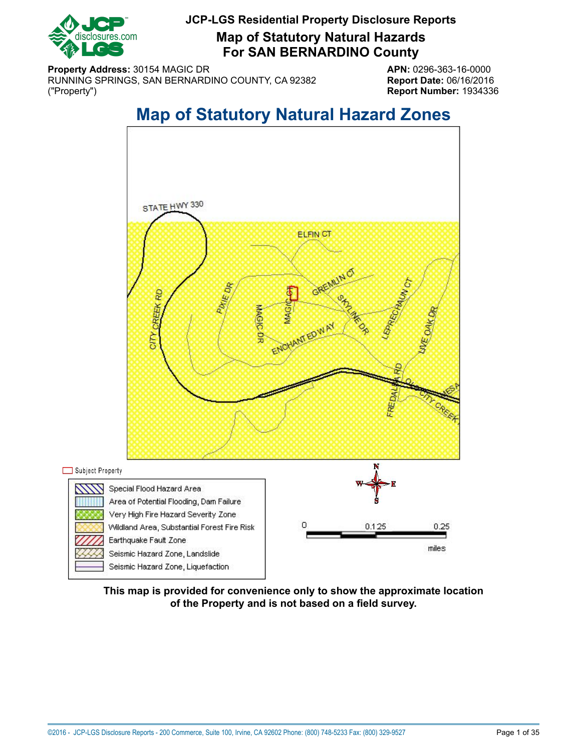

**Map of Statutory Natural Hazards For SAN BERNARDINO County**

**Property Address:** 30154 MAGIC DR **APN:** 0296-363-16-0000 RUNNING SPRINGS, SAN BERNARDINO COUNTY, CA 92382 **Report Date:** 06/16/2016 ("Property") **Report Number:** 1934336

# **Map of Statutory Natural Hazard Zones**

<span id="page-0-0"></span>

**This map is provided for convenience only to show the approximate location of the Property and is not based on a field survey.**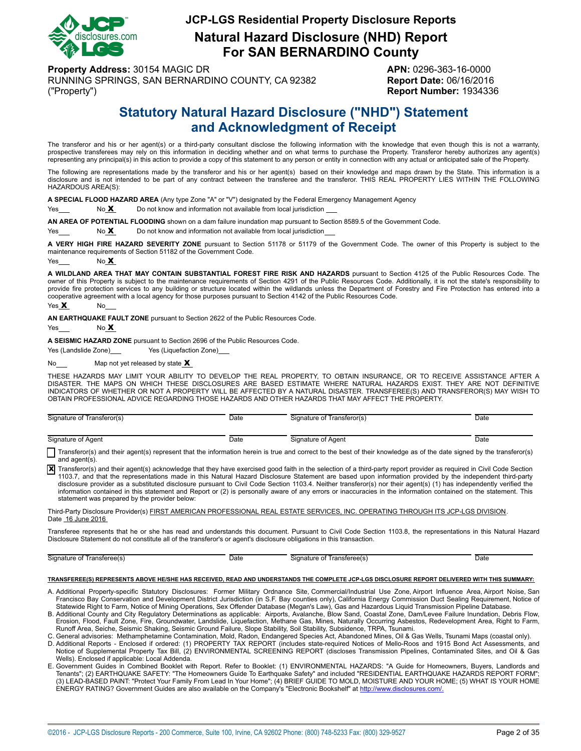

# **JCP-LGS Residential Property Disclosure Reports Natural Hazard Disclosure (NHD) Report For SAN BERNARDINO County**

**Property Address:** 30154 MAGIC DR **APN:** 0296-363-16-0000 RUNNING SPRINGS, SAN BERNARDINO COUNTY, CA 92382 **Report Date:** 06/16/2016 ("Property") **Report Number:** 1934336

# **Statutory Natural Hazard Disclosure ("NHD") Statement and Acknowledgment of Receipt**

<span id="page-1-0"></span>The transferor and his or her agent(s) or a third-party consultant disclose the following information with the knowledge that even though this is not a warranty, prospective transferees may rely on this information in deciding whether and on what terms to purchase the Property. Transferor hereby authorizes any agent(s) representing any principal(s) in this action to provide a copy of this statement to any person or entity in connection with any actual or anticipated sale of the Property.

The following are representations made by the transferor and his or her agent(s) based on their knowledge and maps drawn by the State. This information is a disclosure and is not intended to be part of any contract between the transferee and the transferor. THIS REAL PROPERTY LIES WITHIN THE FOLLOWING HAZARDOUS AREA(S):

**A SPECIAL FLOOD HAZARD AREA** (Any type Zone "A" or "V") designated by the Federal Emergency Management Agency

Yes No X Do not know and information not available from local jurisdiction

**AN AREA OF POTENTIAL FLOODING** shown on a dam failure inundation map pursuant to Section 8589.5 of the Government Code.

 $Yes  $\sim$  No X  $\sim$  Do not know and information not available from local jurisdiction$ 

**A VERY HIGH FIRE HAZARD SEVERITY ZONE** pursuant to Section 51178 or 51179 of the Government Code. The owner of this Property is subject to the maintenance requirements of Section 51182 of the Government Code.

Yes  $N<sub>0</sub> X$ 

**A WILDLAND AREA THAT MAY CONTAIN SUBSTANTIAL FOREST FIRE RISK AND HAZARDS** pursuant to Section 4125 of the Public Resources Code. The owner of this Property is subject to the maintenance requirements of Section 4291 of the Public Resources Code. Additionally, it is not the state's responsibility to provide fire protection services to any building or structure located within the wildlands unless the Department of Forestry and Fire Protection has entered into a cooperative agreement with a local agency for those purposes pursuant to Section 4142 of the Public Resources Code.

Yes X No

**AN EARTHQUAKE FAULT ZONE** pursuant to Section 2622 of the Public Resources Code.

Yes No **X** 

**A SEISMIC HAZARD ZONE** pursuant to Section 2696 of the Public Resources Code.

Yes (Landslide Zone) Yes (Liquefaction Zone)

No $\frac{\mathbf{M}}{2}$  Map not yet released by state  $\mathbf{X}$ 

THESE HAZARDS MAY LIMIT YOUR ABILITY TO DEVELOP THE REAL PROPERTY, TO OBTAIN INSURANCE, OR TO RECEIVE ASSISTANCE AFTER A<br>DISASTER. THE MAPS ON WHICH THESE DISCLOSURES ARE BASED ESTIMATE WHERE NATURAL HAZARDS EXIST. THEY AR INDICATORS OF WHETHER OR NOT A PROPERTY WILL BE AFFECTED BY A NATURAL DISASTER. TRANSFEREE(S) AND TRANSFEROR(S) MAY WISH TO OBTAIN PROFESSIONAL ADVICE REGARDING THOSE HAZARDS AND OTHER HAZARDS THAT MAY AFFECT THE PROPERTY.

| (ransferor(s)<br>Signature of | Date | Signature of Transferor(s)                     | Date |
|-------------------------------|------|------------------------------------------------|------|
|                               |      |                                                |      |
| Signature of Agent            | Date | Signature of Agent<br>$\overline{\phantom{0}}$ | Date |

Transferor(s) and their agent(s) represent that the information herein is true and correct to the best of their knowledge as of the date signed by the transferor(s) and agent(s).

Transferor(s) and their agent(s) acknowledge that they have exercised good faith in the selection of a third-party report provider as required in Civil Code Section<br>1103.7, and that the representations made in this Natural disclosure provider as a substituted disclosure pursuant to Civil Code Section 1103.4. Neither transferor(s) nor their agent(s) (1) has independently verified the information contained in this statement and Report or (2) is personally aware of any errors or inaccuracies in the information contained on the statement. This statement was prepared by the provider below:

Third-Party Disclosure Provider(s) FIRST AMERICAN PROFESSIONAL REAL ESTATE SERVICES, INC. OPERATING THROUGH ITS JCP-LGS DIVISION. Date 16 June 2016

Transferee represents that he or she has read and understands this document. Pursuant to Civil Code Section 1103.8, the representations in this Natural Hazard Disclosure Statement do not constitute all of the transferor's or agent's disclosure obligations in this transaction.

Signature of Transferee(s) Date **Date Signature of Transferee(s)** Date Date Date

#### **TRANSFEREE(S) REPRESENTS ABOVE HE/SHE HAS RECEIVED, READ AND UNDERSTANDS THE COMPLETE JCP-LGS DISCLOSURE REPORT DELIVERED WITH THIS SUMMARY:**

- A. Additional Property-specific Statutory Disclosures: Former Military Ordnance Site, Commercial/Industrial Use Zone, Airport Influence Area, Airport Noise, San Francisco Bay Conservation and Development District Jurisdiction (in S.F. Bay counties only), California Energy Commission Duct Sealing Requirement, Notice of<br>Statewide Right to Farm, Notice of Mining Operations, Sex Offen
- B. Additional County and City Regulatory Determinations as applicable: Airports, Avalanche, Blow Sand, Coastal Zone, Dam/Levee Failure Inundation, Debris Flow, Erosion, Flood, Fault Zone, Fire, Groundwater, Landslide, Liquefaction, Methane Gas, Mines, Naturally Occurring Asbestos, Redevelopment Area, Right to Farm,
- Runoff Area, Seiche, Seismic Shaking, Seismic Ground Failure, Slope Stability, Soil Stability, Subsidence, TRPA, Tsunami.<br>C. General advisories: Methamphetamine Contamination, Mold, Radon, Endangered Species Act, Abandoned
- D. Additional Reports Enclosed if ordered: (1) PROPERTY TAX REPORT (includes state-required Notices of Mello-Roos and 1915 Bond Act Assessments, and<br>Notice of Supplemental Property Tax Bill, (2) ENVIRONMENTAL SCREENING R Wells). Enclosed if applicable: Local Addenda.
- E. Government Guides in Combined Booklet with Report. Refer to Booklet: (1) ENVIRONMENTAL HAZARDS: "A Guide for Homeowners, Buyers, Landlords and Tenants"; (2) EARTHQUAKE SAFETY: "The Homeowners Guide To Earthquake Safety" and included "RESIDENTIAL EARTHQUAKE HAZARDS REPORT FORM"; (3) LEAD-BASED PAINT: "Protect Your Family From Lead In Your Home"; (4) BRIEF GUIDE TO MOLD, MOISTURE AND YOUR HOME; (5) WHAT IS YOUR HOME ENERGY RATING? Government Guides are also available on the Company's "Electronic Bookshelf" at http://www.disclosures.com/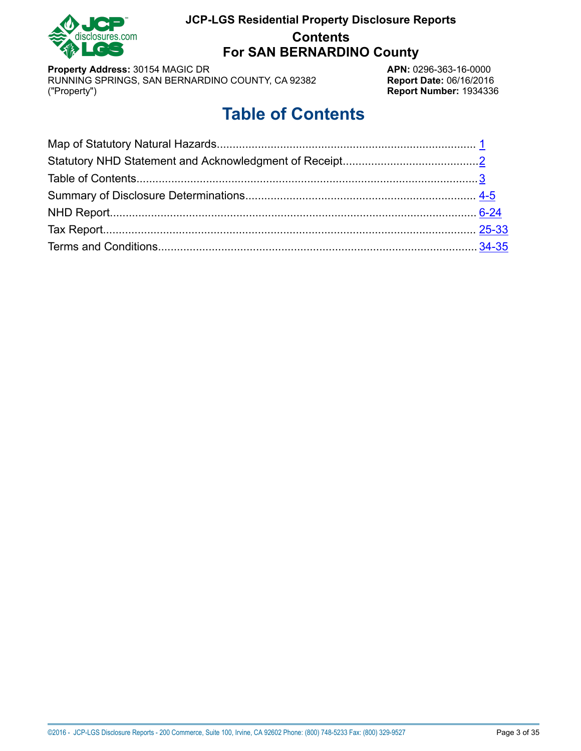

# **JCP-LGS Residential Property Disclosure Reports Contents For SAN BERNARDINO County**

**Property Address:** 30154 MAGIC DR<br>RUNNING SPRINGS, SAN BERNARDINO COUNTY, CA 92382 **APN:** 0296-363-16-0000 RUNNING SPRINGS, SAN BERNARDINO COUNTY, CA 92382<br>("Property")

**Report Number: 1934336** 

# **Table of Contents**

<span id="page-2-0"></span>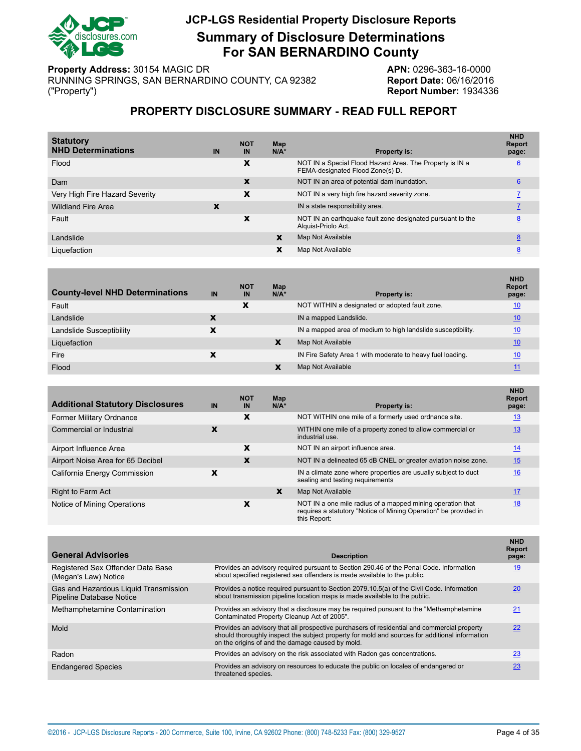

# **JCP-LGS Residential Property Disclosure Reports Summary of Disclosure Determinations For SAN BERNARDINO County**

**Property Address:** 30154 MAGIC DR<br>RUNNING SPRINGS, SAN BERNARDINO COUNTY, CA 92382 **APN:** 0296-363-16-0000 RUNNING SPRINGS, SAN BERNARDINO COUNTY, CA 92382<br>("Property")

**Report Number: 1934336** 

### **PROPERTY DISCLOSURE SUMMARY - READ FULL REPORT**

<span id="page-3-0"></span>

| IN | <b>NOT</b><br>IN | Map<br>$N/A*$ | <b>Property is:</b>                                                                          | <b>NHD</b><br><b>Report</b><br>page: |
|----|------------------|---------------|----------------------------------------------------------------------------------------------|--------------------------------------|
|    | х                |               | NOT IN a Special Flood Hazard Area. The Property is IN a<br>FEMA-designated Flood Zone(s) D. | 6                                    |
|    | x                |               | NOT IN an area of potential dam inundation.                                                  | $\underline{6}$                      |
|    | x                |               | NOT IN a very high fire hazard severity zone.                                                |                                      |
| X  |                  |               | IN a state responsibility area.                                                              |                                      |
|    | x                |               | NOT IN an earthquake fault zone designated pursuant to the<br>Alquist-Priolo Act.            | 8                                    |
|    |                  | X             | Map Not Available                                                                            | 8                                    |
|    |                  | x             | Map Not Available                                                                            | 8                                    |
|    |                  |               |                                                                                              |                                      |

| <b>County-level NHD Determinations</b> | IN | <b>NOT</b><br>IN | Map<br>$N/A^*$ | <b>Property is:</b>                                          | <b>NHD</b><br><b>Report</b><br>page: |
|----------------------------------------|----|------------------|----------------|--------------------------------------------------------------|--------------------------------------|
| Fault                                  |    | x                |                | NOT WITHIN a designated or adopted fault zone.               | 10                                   |
| Landslide                              |    |                  |                | IN a mapped Landslide.                                       | 10                                   |
| Landslide Susceptibility               |    |                  |                | IN a mapped area of medium to high landslide susceptibility. | 10                                   |
| Liquefaction                           |    |                  | x              | Map Not Available                                            | 10                                   |
| Fire                                   |    |                  |                | IN Fire Safety Area 1 with moderate to heavy fuel loading.   | 10                                   |
| Flood                                  |    |                  |                | Map Not Available                                            |                                      |

| <b>Additional Statutory Disclosures</b> | IN | <b>NOT</b><br><b>IN</b> | Map<br>$N/A^*$ | Property is:                                                                                                                                   | <b>NHD</b><br><b>Report</b><br>page: |
|-----------------------------------------|----|-------------------------|----------------|------------------------------------------------------------------------------------------------------------------------------------------------|--------------------------------------|
| Former Military Ordnance                |    | x                       |                | NOT WITHIN one mile of a formerly used ordnance site.                                                                                          | 13                                   |
| Commercial or Industrial                | х  |                         |                | WITHIN one mile of a property zoned to allow commercial or<br>industrial use.                                                                  | 13                                   |
| Airport Influence Area                  |    | x                       |                | NOT IN an airport influence area.                                                                                                              | <u>14</u>                            |
| Airport Noise Area for 65 Decibel       |    | x                       |                | NOT IN a delineated 65 dB CNEL or greater aviation noise zone.                                                                                 | 15                                   |
| California Energy Commission            | х  |                         |                | IN a climate zone where properties are usually subject to duct<br>sealing and testing requirements                                             | 16                                   |
| <b>Right to Farm Act</b>                |    |                         | X              | Map Not Available                                                                                                                              | 17                                   |
| Notice of Mining Operations             |    | x                       |                | NOT IN a one mile radius of a mapped mining operation that<br>requires a statutory "Notice of Mining Operation" be provided in<br>this Report: | 18                                   |

| <b>General Advisories</b>                                                | <b>Description</b>                                                                                                                                                                                                                                | <b>NHD</b><br><b>Report</b><br>page: |
|--------------------------------------------------------------------------|---------------------------------------------------------------------------------------------------------------------------------------------------------------------------------------------------------------------------------------------------|--------------------------------------|
| Registered Sex Offender Data Base<br>(Megan's Law) Notice                | Provides an advisory required pursuant to Section 290.46 of the Penal Code. Information<br>about specified registered sex offenders is made available to the public.                                                                              | 19                                   |
| Gas and Hazardous Liquid Transmission<br><b>Pipeline Database Notice</b> | Provides a notice required pursuant to Section 2079.10.5(a) of the Civil Code. Information<br>about transmission pipeline location maps is made available to the public.                                                                          | 20                                   |
| Methamphetamine Contamination                                            | Provides an advisory that a disclosure may be required pursuant to the "Methamphetamine"<br>Contaminated Property Cleanup Act of 2005".                                                                                                           | 21                                   |
| Mold                                                                     | Provides an advisory that all prospective purchasers of residential and commercial property<br>should thoroughly inspect the subject property for mold and sources for additional information<br>on the origins of and the damage caused by mold. | 22                                   |
| Radon                                                                    | Provides an advisory on the risk associated with Radon gas concentrations.                                                                                                                                                                        | 23                                   |
| <b>Endangered Species</b>                                                | Provides an advisory on resources to educate the public on locales of endangered or<br>threatened species.                                                                                                                                        | 23                                   |
|                                                                          |                                                                                                                                                                                                                                                   |                                      |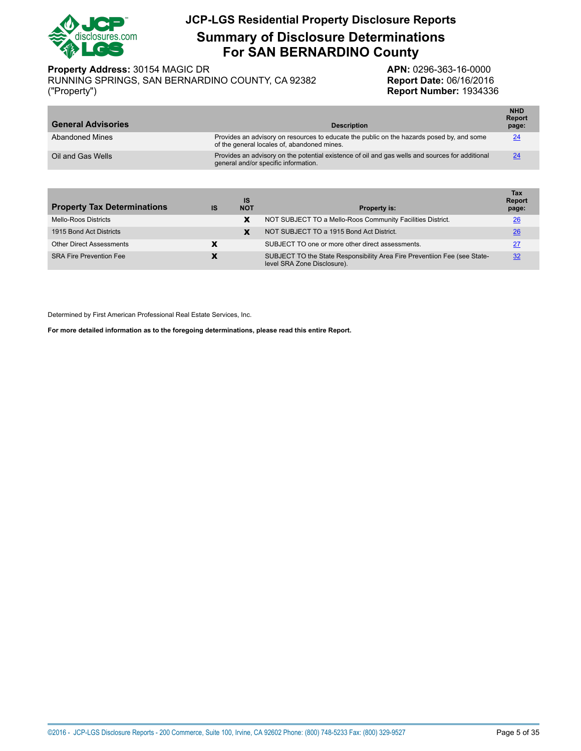

**Summary of Disclosure Determinations For SAN BERNARDINO County**

**Property Address:** 30154 MAGIC DR **APN:** 0296-363-16-0000

RUNNING SPRINGS, SAN BERNARDINO COUNTY, CA 92382 **Report Date:** 06/16/2016 ("Property") **Report Number:** 1934336

| <b>General Advisories</b> | <b>Description</b>                                                                                                                       | <b>NHD</b><br><b>Report</b><br>page: |
|---------------------------|------------------------------------------------------------------------------------------------------------------------------------------|--------------------------------------|
| Abandoned Mines           | Provides an advisory on resources to educate the public on the hazards posed by, and some<br>of the general locales of, abandoned mines. | 24                                   |
| Oil and Gas Wells         | Provides an advisory on the potential existence of oil and gas wells and sources for additional<br>general and/or specific information.  | 24                                   |

| <b>Property Tax Determinations</b> | IS                       | IS<br><b>NOT</b> | <b>Property is:</b>                                                                                      | Tax<br><b>Report</b><br>page: |
|------------------------------------|--------------------------|------------------|----------------------------------------------------------------------------------------------------------|-------------------------------|
| <b>Mello-Roos Districts</b>        |                          | x                | NOT SUBJECT TO a Mello-Roos Community Facilities District.                                               | 26                            |
| 1915 Bond Act Districts            |                          |                  | NOT SUBJECT TO a 1915 Bond Act District.                                                                 | 26                            |
| <b>Other Direct Assessments</b>    | x                        |                  | SUBJECT TO one or more other direct assessments.                                                         | 27                            |
| <b>SRA Fire Prevention Fee</b>     | $\overline{\phantom{a}}$ |                  | SUBJECT TO the State Responsibility Area Fire Preventiion Fee (see State-<br>level SRA Zone Disclosure). | 32                            |

Determined by First American Professional Real Estate Services, Inc.

**For more detailed information as to the foregoing determinations, please read this entire Report.**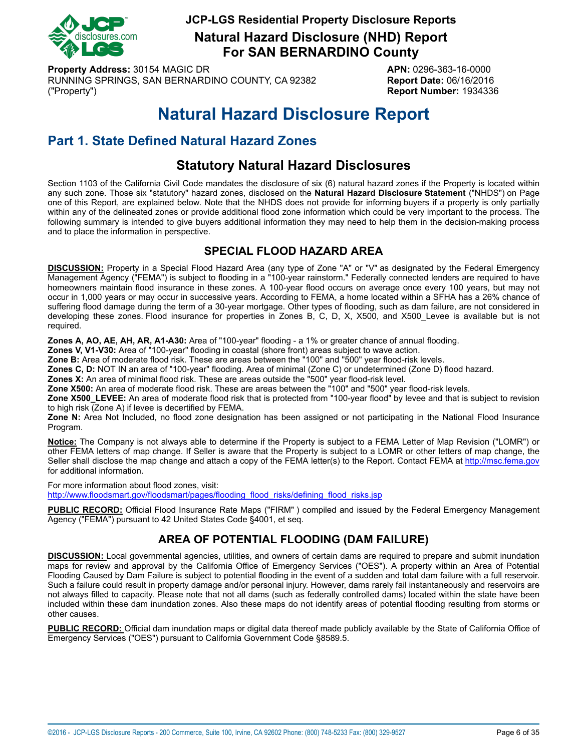

**Natural Hazard Disclosure (NHD) Report For SAN BERNARDINO County**

**Property Address:** 30154 MAGIC DR **APN:** 0296-363-16-0000 RUNNING SPRINGS, SAN BERNARDINO COUNTY, CA 92382 **Report Date:** 06/16/2016 ("Property") **Report Number:** 1934336

# **Natural Hazard Disclosure Report**

# <span id="page-5-0"></span>**Part 1. State Defined Natural Hazard Zones**

# **Statutory Natural Hazard Disclosures**

Section 1103 of the California Civil Code mandates the disclosure of six (6) natural hazard zones if the Property is located within any such zone. Those six "statutory" hazard zones, disclosed on the **Natural Hazard Disclosure Statement** ("NHDS") on Page one of this Report, are explained below. Note that the NHDS does not provide for informing buyers if a property is only partially within any of the delineated zones or provide additional flood zone information which could be very important to the process. The following summary is intended to give buyers additional information they may need to help them in the decision-making process and to place the information in perspective.

# **SPECIAL FLOOD HAZARD AREA**

<span id="page-5-1"></span>**DISCUSSION:** Property in a Special Flood Hazard Area (any type of Zone "A" or "V" as designated by the Federal Emergency Management Agency ("FEMA") is subject to flooding in a "100-year rainstorm." Federally connected lenders are required to have homeowners maintain flood insurance in these zones. A 100-year flood occurs on average once every 100 years, but may not occur in 1,000 years or may occur in successive years. According to FEMA, a home located within a SFHA has a 26% chance of suffering flood damage during the term of a 30-year mortgage. Other types of flooding, such as dam failure, are not considered in developing these zones. Flood insurance for properties in Zones B, C, D, X, X500, and X500\_Levee is available but is not required.

**Zones A, AO, AE, AH, AR, A1-A30:** Area of "100-year" flooding - a 1% or greater chance of annual flooding.

**Zones V, V1-V30:** Area of "100-year" flooding in coastal (shore front) areas subject to wave action.

**Zone B:** Area of moderate flood risk. These are areas between the "100" and "500" year flood-risk levels.

**Zones C, D:** NOT IN an area of "100-year" flooding. Area of minimal (Zone C) or undetermined (Zone D) flood hazard.

**Zones X:** An area of minimal flood risk. These are areas outside the "500" year flood-risk level.

**Zone X500:** An area of moderate flood risk. These are areas between the "100" and "500" year flood-risk levels.

**Zone X500\_LEVEE:** An area of moderate flood risk that is protected from "100-year flood" by levee and that is subject to revision to high risk (Zone A) if levee is decertified by FEMA.

**Zone N:** Area Not Included, no flood zone designation has been assigned or not participating in the National Flood Insurance Program.

**Notice:** The Company is not always able to determine if the Property is subject to a FEMA Letter of Map Revision ("LOMR") or other FEMA letters of map change. If Seller is aware that the Property is subject to a LOMR or other letters of map change, the Seller shall disclose the map change and attach a copy of the FEMA letter(s) to the Report. Contact FEMA at<http://msc.fema.gov> for additional information.

For more information about flood zones, visit:

[http://www.floodsmart.gov/floodsmart/pages/flooding\\_flood\\_risks/defining\\_flood\\_risks.jsp](http://www.floodsmart.gov/floodsmart/pages/flooding_flood_risks/defining_flood_risks.jsp)

**PUBLIC RECORD:** Official Flood Insurance Rate Maps ("FIRM" ) compiled and issued by the Federal Emergency Management Agency ("FEMA") pursuant to 42 United States Code §4001, et seq.

# **AREA OF POTENTIAL FLOODING (DAM FAILURE)**

<span id="page-5-2"></span>**DISCUSSION:** Local governmental agencies, utilities, and owners of certain dams are required to prepare and submit inundation maps for review and approval by the California Office of Emergency Services ("OES"). A property within an Area of Potential Flooding Caused by Dam Failure is subject to potential flooding in the event of a sudden and total dam failure with a full reservoir. Such a failure could result in property damage and/or personal injury. However, dams rarely fail instantaneously and reservoirs are not always filled to capacity. Please note that not all dams (such as federally controlled dams) located within the state have been included within these dam inundation zones. Also these maps do not identify areas of potential flooding resulting from storms or other causes.

**PUBLIC RECORD:** Official dam inundation maps or digital data thereof made publicly available by the State of California Office of Emergency Services ("OES") pursuant to California Government Code §8589.5.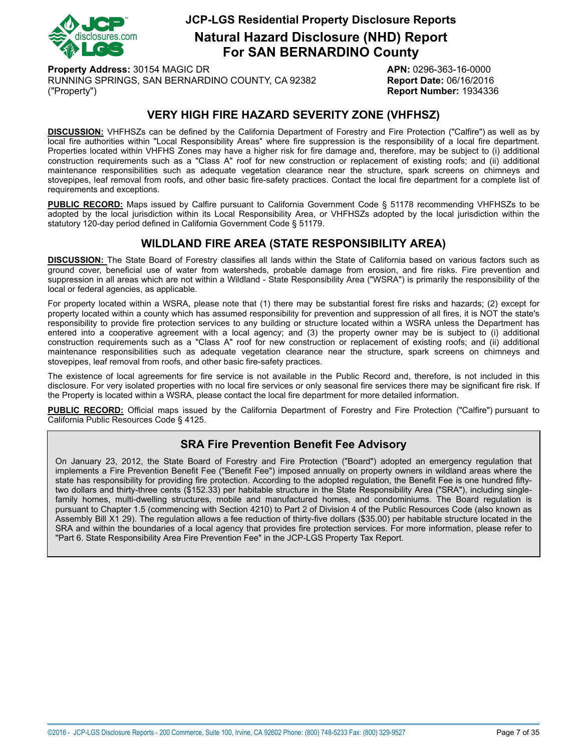

**Natural Hazard Disclosure (NHD) Report For SAN BERNARDINO County**

**Property Address:** 30154 MAGIC DR **APN:** 0296-363-16-0000 RUNNING SPRINGS, SAN BERNARDINO COUNTY, CA 92382 **Report Date:** 06/16/2016 ("Property") **Report Number:** 1934336

## **VERY HIGH FIRE HAZARD SEVERITY ZONE (VHFHSZ)**

<span id="page-6-0"></span>**DISCUSSION:** VHFHSZs can be defined by the California Department of Forestry and Fire Protection ("Calfire") as well as by local fire authorities within "Local Responsibility Areas" where fire suppression is the responsibility of a local fire department. Properties located within VHFHS Zones may have a higher risk for fire damage and, therefore, may be subject to (i) additional construction requirements such as a "Class A" roof for new construction or replacement of existing roofs; and (ii) additional maintenance responsibilities such as adequate vegetation clearance near the structure, spark screens on chimneys and stovepipes, leaf removal from roofs, and other basic fire-safety practices. Contact the local fire department for a complete list of requirements and exceptions.

**PUBLIC RECORD:** Maps issued by Calfire pursuant to California Government Code § 51178 recommending VHFHSZs to be adopted by the local jurisdiction within its Local Responsibility Area, or VHFHSZs adopted by the local jurisdiction within the statutory 120-day period defined in California Government Code § 51179.

### **WILDLAND FIRE AREA (STATE RESPONSIBILITY AREA)**

<span id="page-6-1"></span>**DISCUSSION:** The State Board of Forestry classifies all lands within the State of California based on various factors such as ground cover, beneficial use of water from watersheds, probable damage from erosion, and fire risks. Fire prevention and suppression in all areas which are not within a Wildland - State Responsibility Area ("WSRA") is primarily the responsibility of the local or federal agencies, as applicable.

For property located within a WSRA, please note that (1) there may be substantial forest fire risks and hazards; (2) except for property located within a county which has assumed responsibility for prevention and suppression of all fires, it is NOT the state's responsibility to provide fire protection services to any building or structure located within a WSRA unless the Department has entered into a cooperative agreement with a local agency; and (3) the property owner may be is subject to (i) additional construction requirements such as a "Class A" roof for new construction or replacement of existing roofs; and (ii) additional maintenance responsibilities such as adequate vegetation clearance near the structure, spark screens on chimneys and stovepipes, leaf removal from roofs, and other basic fire-safety practices.

The existence of local agreements for fire service is not available in the Public Record and, therefore, is not included in this disclosure. For very isolated properties with no local fire services or only seasonal fire services there may be significant fire risk. If the Property is located within a WSRA, please contact the local fire department for more detailed information.

**PUBLIC RECORD:** Official maps issued by the California Department of Forestry and Fire Protection ("Calfire") pursuant to California Public Resources Code § 4125.

### **SRA Fire Prevention Benefit Fee Advisory**

On January 23, 2012, the State Board of Forestry and Fire Protection ("Board") adopted an emergency regulation that implements a Fire Prevention Benefit Fee ("Benefit Fee") imposed annually on property owners in wildland areas where the state has responsibility for providing fire protection. According to the adopted regulation, the Benefit Fee is one hundred fiftytwo dollars and thirty-three cents (\$152.33) per habitable structure in the State Responsibility Area ("SRA"), including singlefamily homes, multi-dwelling structures, mobile and manufactured homes, and condominiums. The Board regulation is pursuant to Chapter 1.5 (commencing with Section 4210) to Part 2 of Division 4 of the Public Resources Code (also known as Assembly Bill X1 29). The regulation allows a fee reduction of thirty-five dollars (\$35.00) per habitable structure located in the SRA and within the boundaries of a local agency that provides fire protection services. For more information, please refer to "Part 6. State Responsibility Area Fire Prevention Fee" in the JCP-LGS Property Tax Report.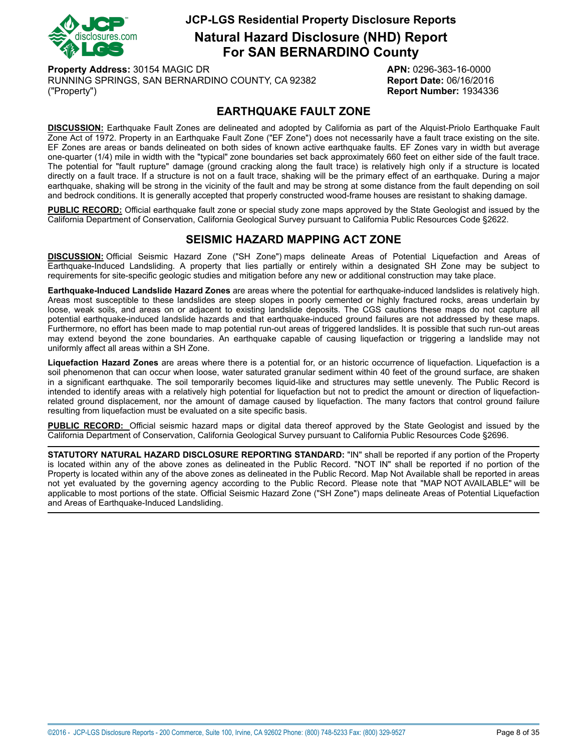

**Natural Hazard Disclosure (NHD) Report For SAN BERNARDINO County**

**Property Address:** 30154 MAGIC DR **APN:** 0296-363-16-0000 RUNNING SPRINGS, SAN BERNARDINO COUNTY, CA 92382 **Report Date:** 06/16/2016 ("Property") **Report Number:** 1934336

# **EARTHQUAKE FAULT ZONE**

<span id="page-7-0"></span>**DISCUSSION:** Earthquake Fault Zones are delineated and adopted by California as part of the Alquist-Priolo Earthquake Fault Zone Act of 1972. Property in an Earthquake Fault Zone ("EF Zone") does not necessarily have a fault trace existing on the site. EF Zones are areas or bands delineated on both sides of known active earthquake faults. EF Zones vary in width but average one-quarter (1/4) mile in width with the "typical" zone boundaries set back approximately 660 feet on either side of the fault trace. The potential for "fault rupture" damage (ground cracking along the fault trace) is relatively high only if a structure is located directly on a fault trace. If a structure is not on a fault trace, shaking will be the primary effect of an earthquake. During a major earthquake, shaking will be strong in the vicinity of the fault and may be strong at some distance from the fault depending on soil and bedrock conditions. It is generally accepted that properly constructed wood-frame houses are resistant to shaking damage.

**PUBLIC RECORD:** Official earthquake fault zone or special study zone maps approved by the State Geologist and issued by the California Department of Conservation, California Geological Survey pursuant to California Public Resources Code §2622.

# **SEISMIC HAZARD MAPPING ACT ZONE**

<span id="page-7-1"></span>**DISCUSSION:** Official Seismic Hazard Zone ("SH Zone") maps delineate Areas of Potential Liquefaction and Areas of Earthquake-Induced Landsliding. A property that lies partially or entirely within a designated SH Zone may be subject to requirements for site-specific geologic studies and mitigation before any new or additional construction may take place.

**Earthquake-Induced Landslide Hazard Zones** are areas where the potential for earthquake-induced landslides is relatively high. Areas most susceptible to these landslides are steep slopes in poorly cemented or highly fractured rocks, areas underlain by loose, weak soils, and areas on or adjacent to existing landslide deposits. The CGS cautions these maps do not capture all potential earthquake-induced landslide hazards and that earthquake-induced ground failures are not addressed by these maps. Furthermore, no effort has been made to map potential run-out areas of triggered landslides. It is possible that such run-out areas may extend beyond the zone boundaries. An earthquake capable of causing liquefaction or triggering a landslide may not uniformly affect all areas within a SH Zone.

**Liquefaction Hazard Zones** are areas where there is a potential for, or an historic occurrence of liquefaction. Liquefaction is a soil phenomenon that can occur when loose, water saturated granular sediment within 40 feet of the ground surface, are shaken in a significant earthquake. The soil temporarily becomes liquid-like and structures may settle unevenly. The Public Record is intended to identify areas with a relatively high potential for liquefaction but not to predict the amount or direction of liquefactionrelated ground displacement, nor the amount of damage caused by liquefaction. The many factors that control ground failure resulting from liquefaction must be evaluated on a site specific basis.

**PUBLIC RECORD:** Official seismic hazard maps or digital data thereof approved by the State Geologist and issued by the California Department of Conservation, California Geological Survey pursuant to California Public Resources Code §2696.

**STATUTORY NATURAL HAZARD DISCLOSURE REPORTING STANDARD:** "IN" shall be reported if any portion of the Property is located within any of the above zones as delineated in the Public Record. "NOT IN" shall be reported if no portion of the Property is located within any of the above zones as delineated in the Public Record. Map Not Available shall be reported in areas not yet evaluated by the governing agency according to the Public Record. Please note that "MAP NOT AVAILABLE" will be applicable to most portions of the state. Official Seismic Hazard Zone ("SH Zone") maps delineate Areas of Potential Liquefaction and Areas of Earthquake-Induced Landsliding.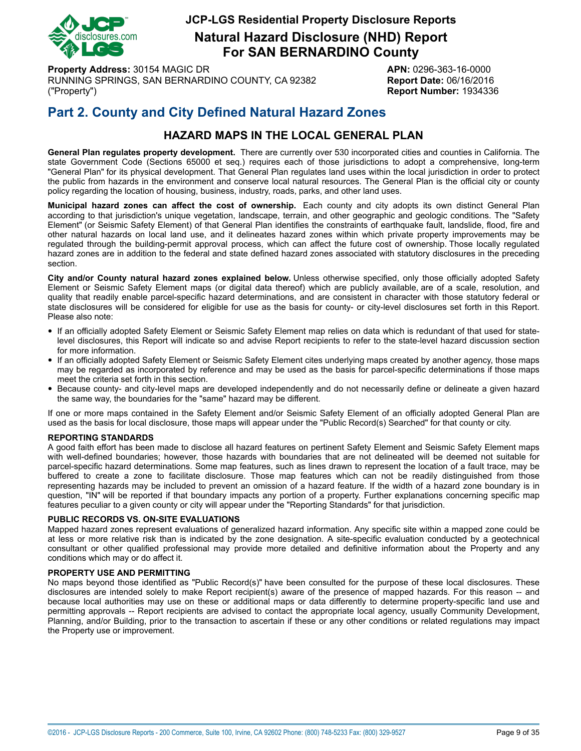

**Natural Hazard Disclosure (NHD) Report For SAN BERNARDINO County**

**Property Address:** 30154 MAGIC DR **APN:** 0296-363-16-0000 RUNNING SPRINGS, SAN BERNARDINO COUNTY, CA 92382 **Report Date:** 06/16/2016 ("Property") **Report Number:** 1934336

# **Part 2. County and City Defined Natural Hazard Zones**

# **HAZARD MAPS IN THE LOCAL GENERAL PLAN**

**General Plan regulates property development.** There are currently over 530 incorporated cities and counties in California. The state Government Code (Sections 65000 et seq.) requires each of those jurisdictions to adopt a comprehensive, long-term "General Plan" for its physical development. That General Plan regulates land uses within the local jurisdiction in order to protect the public from hazards in the environment and conserve local natural resources. The General Plan is the official city or county policy regarding the location of housing, business, industry, roads, parks, and other land uses.

**Municipal hazard zones can affect the cost of ownership.** Each county and city adopts its own distinct General Plan according to that jurisdiction's unique vegetation, landscape, terrain, and other geographic and geologic conditions. The "Safety Element" (or Seismic Safety Element) of that General Plan identifies the constraints of earthquake fault, landslide, flood, fire and other natural hazards on local land use, and it delineates hazard zones within which private property improvements may be regulated through the building-permit approval process, which can affect the future cost of ownership. Those locally regulated hazard zones are in addition to the federal and state defined hazard zones associated with statutory disclosures in the preceding section.

**City and/or County natural hazard zones explained below.** Unless otherwise specified, only those officially adopted Safety Element or Seismic Safety Element maps (or digital data thereof) which are publicly available, are of a scale, resolution, and quality that readily enable parcel-specific hazard determinations, and are consistent in character with those statutory federal or state disclosures will be considered for eligible for use as the basis for county- or city-level disclosures set forth in this Report. Please also note:

- If an officially adopted Safety Element or Seismic Safety Element map relies on data which is redundant of that used for statelevel disclosures, this Report will indicate so and advise Report recipients to refer to the state-level hazard discussion section for more information.
- If an officially adopted Safety Element or Seismic Safety Element cites underlying maps created by another agency, those maps may be regarded as incorporated by reference and may be used as the basis for parcel-specific determinations if those maps meet the criteria set forth in this section.
- Because county- and city-level maps are developed independently and do not necessarily define or delineate <sup>a</sup> given hazard the same way, the boundaries for the "same" hazard may be different.

If one or more maps contained in the Safety Element and/or Seismic Safety Element of an officially adopted General Plan are used as the basis for local disclosure, those maps will appear under the "Public Record(s) Searched" for that county or city.

#### **REPORTING STANDARDS**

A good faith effort has been made to disclose all hazard features on pertinent Safety Element and Seismic Safety Element maps with well-defined boundaries; however, those hazards with boundaries that are not delineated will be deemed not suitable for parcel-specific hazard determinations. Some map features, such as lines drawn to represent the location of a fault trace, may be buffered to create a zone to facilitate disclosure. Those map features which can not be readily distinguished from those representing hazards may be included to prevent an omission of a hazard feature. If the width of a hazard zone boundary is in question, "IN" will be reported if that boundary impacts any portion of a property. Further explanations concerning specific map features peculiar to a given county or city will appear under the "Reporting Standards" for that jurisdiction.

#### **PUBLIC RECORDS VS. ON-SITE EVALUATIONS**

Mapped hazard zones represent evaluations of generalized hazard information. Any specific site within a mapped zone could be at less or more relative risk than is indicated by the zone designation. A site-specific evaluation conducted by a geotechnical consultant or other qualified professional may provide more detailed and definitive information about the Property and any conditions which may or do affect it.

#### **PROPERTY USE AND PERMITTING**

No maps beyond those identified as "Public Record(s)" have been consulted for the purpose of these local disclosures. These disclosures are intended solely to make Report recipient(s) aware of the presence of mapped hazards. For this reason -- and because local authorities may use on these or additional maps or data differently to determine property-specific land use and permitting approvals -- Report recipients are advised to contact the appropriate local agency, usually Community Development, Planning, and/or Building, prior to the transaction to ascertain if these or any other conditions or related regulations may impact the Property use or improvement.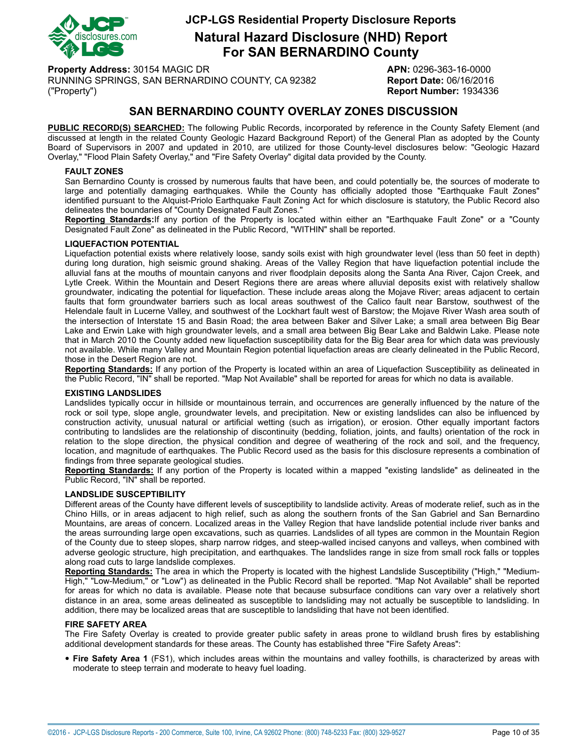

**Natural Hazard Disclosure (NHD) Report For SAN BERNARDINO County**

**Property Address:** 30154 MAGIC DR **APN:** 0296-363-16-0000 RUNNING SPRINGS, SAN BERNARDINO COUNTY, CA 92382 **Report Date:** 06/16/2016 ("Property") **Report Number:** 1934336

# **SAN BERNARDINO COUNTY OVERLAY ZONES DISCUSSION**

**PUBLIC RECORD(S) SEARCHED:** The following Public Records, incorporated by reference in the County Safety Element (and discussed at length in the related County Geologic Hazard Background Report) of the General Plan as adopted by the County Board of Supervisors in 2007 and updated in 2010, are utilized for those County-level disclosures below: "Geologic Hazard Overlay," "Flood Plain Safety Overlay," and "Fire Safety Overlay" digital data provided by the County.

#### <span id="page-9-0"></span>**FAULT ZONES**

San Bernardino County is crossed by numerous faults that have been, and could potentially be, the sources of moderate to large and potentially damaging earthquakes. While the County has officially adopted those "Earthquake Fault Zones" identified pursuant to the Alquist-Priolo Earthquake Fault Zoning Act for which disclosure is statutory, the Public Record also delineates the boundaries of "County Designated Fault Zones."

**Reporting Standards:**If any portion of the Property is located within either an "Earthquake Fault Zone" or a "County Designated Fault Zone" as delineated in the Public Record, "WITHIN" shall be reported.

#### <span id="page-9-3"></span>**LIQUEFACTION POTENTIAL**

Liquefaction potential exists where relatively loose, sandy soils exist with high groundwater level (less than 50 feet in depth) during long duration, high seismic ground shaking. Areas of the Valley Region that have liquefaction potential include the alluvial fans at the mouths of mountain canyons and river floodplain deposits along the Santa Ana River, Cajon Creek, and Lytle Creek. Within the Mountain and Desert Regions there are areas where alluvial deposits exist with relatively shallow groundwater, indicating the potential for liquefaction. These include areas along the Mojave River; areas adjacent to certain faults that form groundwater barriers such as local areas southwest of the Calico fault near Barstow, southwest of the Helendale fault in Lucerne Valley, and southwest of the Lockhart fault west of Barstow; the Mojave River Wash area south of the intersection of Interstate 15 and Basin Road; the area between Baker and Silver Lake; a small area between Big Bear Lake and Erwin Lake with high groundwater levels, and a small area between Big Bear Lake and Baldwin Lake. Please note that in March 2010 the County added new liquefaction susceptibility data for the Big Bear area for which data was previously not available. While many Valley and Mountain Region potential liquefaction areas are clearly delineated in the Public Record, those in the Desert Region are not.

**Reporting Standards:** If any portion of the Property is located within an area of Liquefaction Susceptibility as delineated in the Public Record, "IN" shall be reported. "Map Not Available" shall be reported for areas for which no data is available.

#### <span id="page-9-1"></span>**EXISTING LANDSLIDES**

Landslides typically occur in hillside or mountainous terrain, and occurrences are generally influenced by the nature of the rock or soil type, slope angle, groundwater levels, and precipitation. New or existing landslides can also be influenced by construction activity, unusual natural or artificial wetting (such as irrigation), or erosion. Other equally important factors contributing to landslides are the relationship of discontinuity (bedding, foliation, joints, and faults) orientation of the rock in relation to the slope direction, the physical condition and degree of weathering of the rock and soil, and the frequency, location, and magnitude of earthquakes. The Public Record used as the basis for this disclosure represents a combination of findings from three separate geological studies.

**Reporting Standards:** If any portion of the Property is located within a mapped "existing landslide" as delineated in the Public Record, "IN" shall be reported.

#### <span id="page-9-2"></span>**LANDSLIDE SUSCEPTIBILITY**

Different areas of the County have different levels of susceptibility to landslide activity. Areas of moderate relief, such as in the Chino Hills, or in areas adjacent to high relief, such as along the southern fronts of the San Gabriel and San Bernardino Mountains, are areas of concern. Localized areas in the Valley Region that have landslide potential include river banks and the areas surrounding large open excavations, such as quarries. Landslides of all types are common in the Mountain Region of the County due to steep slopes, sharp narrow ridges, and steep-walled incised canyons and valleys, when combined with adverse geologic structure, high precipitation, and earthquakes. The landslides range in size from small rock falls or topples along road cuts to large landslide complexes.

**Reporting Standards:** The area in which the Property is located with the highest Landslide Susceptibility ("High," "Medium-High," "Low-Medium," or "Low") as delineated in the Public Record shall be reported. "Map Not Available" shall be reported for areas for which no data is available. Please note that because subsurface conditions can vary over a relatively short distance in an area, some areas delineated as susceptible to landsliding may not actually be susceptible to landsliding. In addition, there may be localized areas that are susceptible to landsliding that have not been identified.

#### <span id="page-9-4"></span>**FIRE SAFETY AREA**

The Fire Safety Overlay is created to provide greater public safety in areas prone to wildland brush fires by establishing additional development standards for these areas. The County has established three "Fire Safety Areas":

• **Fire Safety Area <sup>1</sup>** (FS1), which includes areas within the mountains and valley foothills, is characterized by areas with moderate to steep terrain and moderate to heavy fuel loading.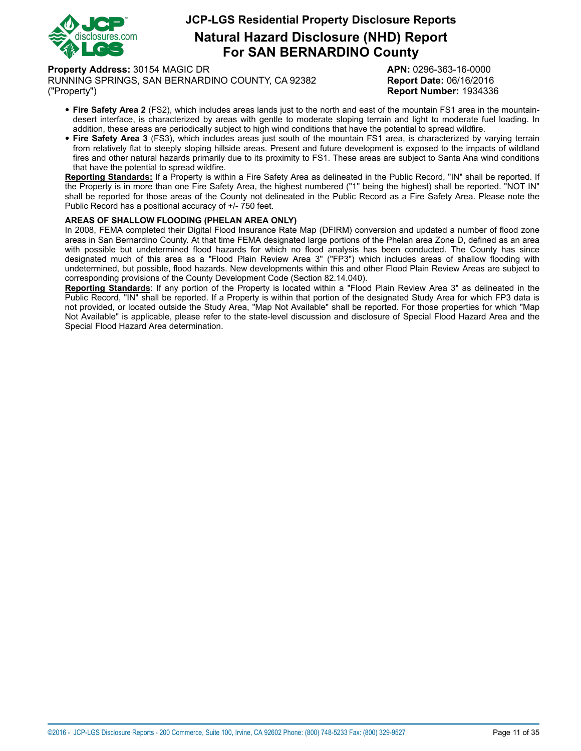

**Natural Hazard Disclosure (NHD) Report For SAN BERNARDINO County**

**Property Address:** 30154 MAGIC DR **APN:** 0296-363-16-0000

RUNNING SPRINGS, SAN BERNARDINO COUNTY, CA 92382 **Report Date:** 06/16/2016 ("Property") **Report Number:** 1934336

- **Fire Safety Area <sup>2</sup>** (FS2), which includes areas lands just to the north and east of the mountain FS1 area in the mountaindesert interface, is characterized by areas with gentle to moderate sloping terrain and light to moderate fuel loading. In addition, these areas are periodically subject to high wind conditions that have the potential to spread wildfire.
- **Fire Safety Area <sup>3</sup>** (FS3), which includes areas just south of the mountain FS1 area, is characterized by varying terrain from relatively flat to steeply sloping hillside areas. Present and future development is exposed to the impacts of wildland fires and other natural hazards primarily due to its proximity to FS1. These areas are subject to Santa Ana wind conditions that have the potential to spread wildfire.

**Reporting Standards:** If a Property is within a Fire Safety Area as delineated in the Public Record, "IN" shall be reported. If the Property is in more than one Fire Safety Area, the highest numbered ("1" being the highest) shall be reported. "NOT IN" shall be reported for those areas of the County not delineated in the Public Record as a Fire Safety Area. Please note the Public Record has a positional accuracy of +/- 750 feet.

#### <span id="page-10-0"></span>**AREAS OF SHALLOW FLOODING (PHELAN AREA ONLY)**

In 2008, FEMA completed their Digital Flood Insurance Rate Map (DFIRM) conversion and updated a number of flood zone areas in San Bernardino County. At that time FEMA designated large portions of the Phelan area Zone D, defined as an area with possible but undetermined flood hazards for which no flood analysis has been conducted. The County has since designated much of this area as a "Flood Plain Review Area 3" ("FP3") which includes areas of shallow flooding with undetermined, but possible, flood hazards. New developments within this and other Flood Plain Review Areas are subject to corresponding provisions of the County Development Code (Section 82.14.040).

**Reporting Standards**: If any portion of the Property is located within a "Flood Plain Review Area 3" as delineated in the Public Record, "IN" shall be reported. If a Property is within that portion of the designated Study Area for which FP3 data is not provided, or located outside the Study Area, "Map Not Available" shall be reported. For those properties for which "Map Not Available" is applicable, please refer to the state-level discussion and disclosure of Special Flood Hazard Area and the Special Flood Hazard Area determination.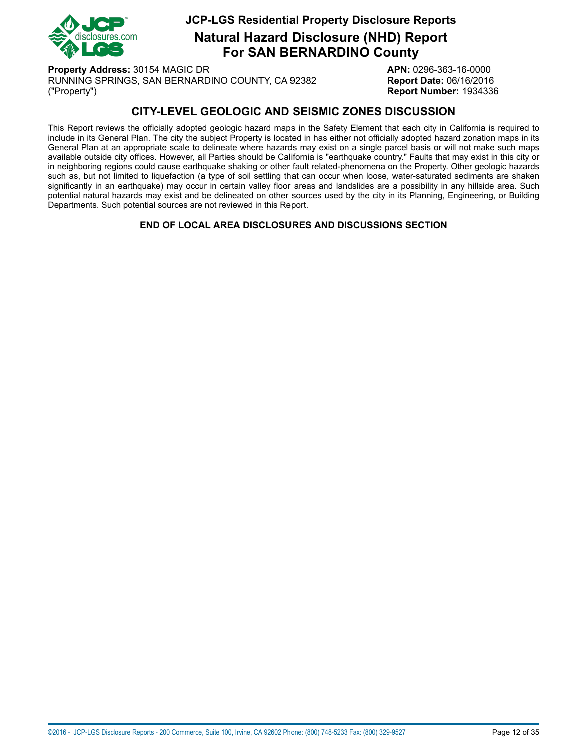

**Natural Hazard Disclosure (NHD) Report For SAN BERNARDINO County**

**Property Address:** 30154 MAGIC DR **APN:** 0296-363-16-0000 RUNNING SPRINGS, SAN BERNARDINO COUNTY, CA 92382 **Report Date:** 06/16/2016 ("Property") **Report Number:** 1934336

# **CITY-LEVEL GEOLOGIC AND SEISMIC ZONES DISCUSSION**

This Report reviews the officially adopted geologic hazard maps in the Safety Element that each city in California is required to include in its General Plan. The city the subject Property is located in has either not officially adopted hazard zonation maps in its General Plan at an appropriate scale to delineate where hazards may exist on a single parcel basis or will not make such maps available outside city offices. However, all Parties should be California is "earthquake country." Faults that may exist in this city or in neighboring regions could cause earthquake shaking or other fault related-phenomena on the Property. Other geologic hazards such as, but not limited to liquefaction (a type of soil settling that can occur when loose, water-saturated sediments are shaken significantly in an earthquake) may occur in certain valley floor areas and landslides are a possibility in any hillside area. Such potential natural hazards may exist and be delineated on other sources used by the city in its Planning, Engineering, or Building Departments. Such potential sources are not reviewed in this Report.

**END OF LOCAL AREA DISCLOSURES AND DISCUSSIONS SECTION**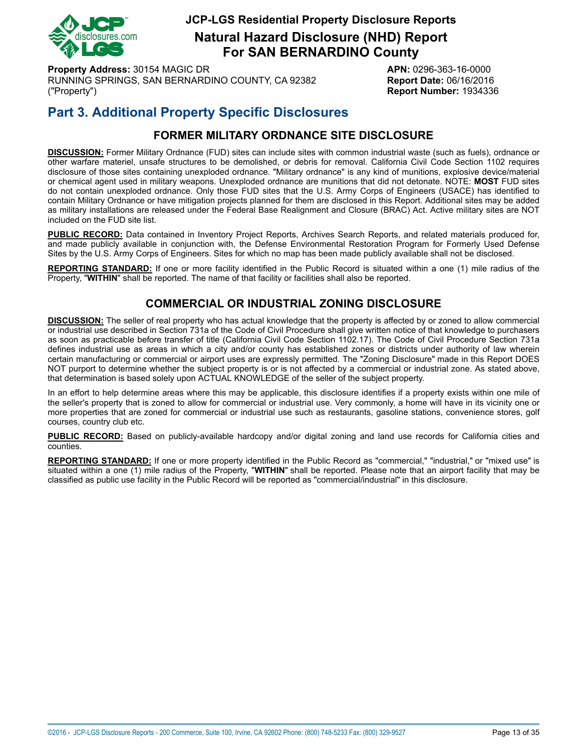

**Natural Hazard Disclosure (NHD) Report For SAN BERNARDINO County**

**Property Address:** 30154 MAGIC DR **APN:** 0296-363-16-0000 RUNNING SPRINGS, SAN BERNARDINO COUNTY, CA 92382 **Report Date:** 06/16/2016 ("Property") **Report Number:** 1934336

# **Part 3. Additional Property Specific Disclosures**

# **FORMER MILITARY ORDNANCE SITE DISCLOSURE**

<span id="page-12-0"></span>**DISCUSSION:** Former Military Ordnance (FUD) sites can include sites with common industrial waste (such as fuels), ordnance or other warfare materiel, unsafe structures to be demolished, or debris for removal. California Civil Code Section 1102 requires disclosure of those sites containing unexploded ordnance. "Military ordnance" is any kind of munitions, explosive device/material or chemical agent used in military weapons. Unexploded ordnance are munitions that did not detonate. NOTE: **MOST** FUD sites do not contain unexploded ordnance. Only those FUD sites that the U.S. Army Corps of Engineers (USACE) has identified to contain Military Ordnance or have mitigation projects planned for them are disclosed in this Report. Additional sites may be added as military installations are released under the Federal Base Realignment and Closure (BRAC) Act. Active military sites are NOT included on the FUD site list.

**PUBLIC RECORD:** Data contained in Inventory Project Reports, Archives Search Reports, and related materials produced for, and made publicly available in conjunction with, the Defense Environmental Restoration Program for Formerly Used Defense Sites by the U.S. Army Corps of Engineers. Sites for which no map has been made publicly available shall not be disclosed.

<span id="page-12-1"></span>**REPORTING STANDARD:** If one or more facility identified in the Public Record is situated within a one (1) mile radius of the Property, "**WITHIN**" shall be reported. The name of that facility or facilities shall also be reported.

# **COMMERCIAL OR INDUSTRIAL ZONING DISCLOSURE**

**DISCUSSION:** The seller of real property who has actual knowledge that the property is affected by or zoned to allow commercial or industrial use described in Section 731a of the Code of Civil Procedure shall give written notice of that knowledge to purchasers as soon as practicable before transfer of title (California Civil Code Section 1102.17). The Code of Civil Procedure Section 731a defines industrial use as areas in which a city and/or county has established zones or districts under authority of law wherein certain manufacturing or commercial or airport uses are expressly permitted. The "Zoning Disclosure" made in this Report DOES NOT purport to determine whether the subject property is or is not affected by a commercial or industrial zone. As stated above, that determination is based solely upon ACTUAL KNOWLEDGE of the seller of the subject property.

In an effort to help determine areas where this may be applicable, this disclosure identifies if a property exists within one mile of the seller's property that is zoned to allow for commercial or industrial use. Very commonly, a home will have in its vicinity one or more properties that are zoned for commercial or industrial use such as restaurants, gasoline stations, convenience stores, golf courses, country club etc.

**PUBLIC RECORD:** Based on publicly-available hardcopy and/or digital zoning and land use records for California cities and counties.

**REPORTING STANDARD:** If one or more property identified in the Public Record as "commercial," "industrial," or "mixed use" is situated within a one (1) mile radius of the Property, "**WITHIN**" shall be reported. Please note that an airport facility that may be classified as public use facility in the Public Record will be reported as "commercial/industrial" in this disclosure.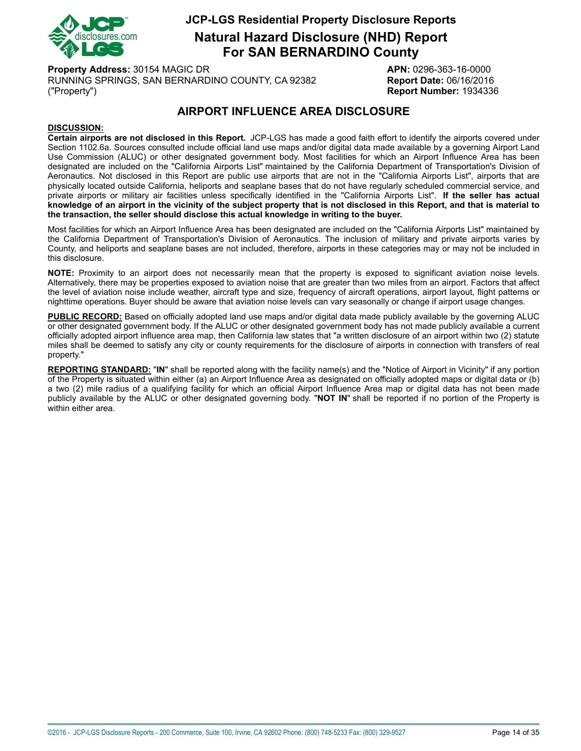

**Natural Hazard Disclosure (NHD) Report For SAN BERNARDINO County**

**Property Address:** 30154 MAGIC DR **APN:** 0296-363-16-0000 RUNNING SPRINGS, SAN BERNARDINO COUNTY, CA 92382 **Report Date:** 06/16/2016 ("Property") **Report Number:** 1934336

# **AIRPORT INFLUENCE AREA DISCLOSURE**

#### <span id="page-13-0"></span>**DISCUSSION:**

**Certain airports are not disclosed in this Report.** JCP-LGS has made a good faith effort to identify the airports covered under Section 1102.6a. Sources consulted include official land use maps and/or digital data made available by a governing Airport Land Use Commission (ALUC) or other designated government body. Most facilities for which an Airport Influence Area has been designated are included on the "California Airports List" maintained by the California Department of Transportation's Division of Aeronautics. Not disclosed in this Report are public use airports that are not in the "California Airports List", airports that are physically located outside California, heliports and seaplane bases that do not have regularly scheduled commercial service, and private airports or military air facilities unless specifically identified in the "California Airports List". **If the seller has actual** knowledge of an airport in the vicinity of the subject property that is not disclosed in this Report, and that is material to **the transaction, the seller should disclose this actual knowledge in writing to the buyer.**

Most facilities for which an Airport Influence Area has been designated are included on the "California Airports List" maintained by the California Department of Transportation's Division of Aeronautics. The inclusion of military and private airports varies by County, and heliports and seaplane bases are not included, therefore, airports in these categories may or may not be included in this disclosure.

**NOTE:** Proximity to an airport does not necessarily mean that the property is exposed to significant aviation noise levels. Alternatively, there may be properties exposed to aviation noise that are greater than two miles from an airport. Factors that affect the level of aviation noise include weather, aircraft type and size, frequency of aircraft operations, airport layout, flight patterns or nighttime operations. Buyer should be aware that aviation noise levels can vary seasonally or change if airport usage changes.

**PUBLIC RECORD:** Based on officially adopted land use maps and/or digital data made publicly available by the governing ALUC or other designated government body. If the ALUC or other designated government body has not made publicly available a current officially adopted airport influence area map, then California law states that "a written disclosure of an airport within two (2) statute miles shall be deemed to satisfy any city or county requirements for the disclosure of airports in connection with transfers of real property."

**REPORTING STANDARD:** "**IN**" shall be reported along with the facility name(s) and the "Notice of Airport in Vicinity" if any portion of the Property is situated within either (a) an Airport Influence Area as designated on officially adopted maps or digital data or (b) a two (2) mile radius of a qualifying facility for which an official Airport Influence Area map or digital data has not been made publicly available by the ALUC or other designated governing body. "**NOT IN**" shall be reported if no portion of the Property is within either area.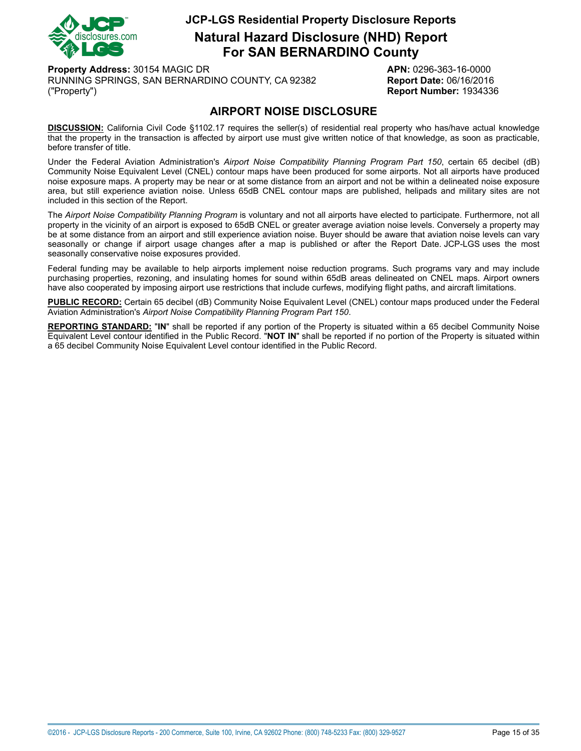

**Natural Hazard Disclosure (NHD) Report For SAN BERNARDINO County**

**Property Address:** 30154 MAGIC DR **APN:** 0296-363-16-0000 RUNNING SPRINGS, SAN BERNARDINO COUNTY, CA 92382 **Report Date:** 06/16/2016 ("Property") **Report Number:** 1934336

# **AIRPORT NOISE DISCLOSURE**

<span id="page-14-0"></span>**DISCUSSION:** California Civil Code §1102.17 requires the seller(s) of residential real property who has/have actual knowledge that the property in the transaction is affected by airport use must give written notice of that knowledge, as soon as practicable, before transfer of title.

Under the Federal Aviation Administration's *Airport Noise Compatibility Planning Program Part 150*, certain 65 decibel (dB) Community Noise Equivalent Level (CNEL) contour maps have been produced for some airports. Not all airports have produced noise exposure maps. A property may be near or at some distance from an airport and not be within a delineated noise exposure area, but still experience aviation noise. Unless 65dB CNEL contour maps are published, helipads and military sites are not included in this section of the Report.

The *Airport Noise Compatibility Planning Program* is voluntary and not all airports have elected to participate. Furthermore, not all property in the vicinity of an airport is exposed to 65dB CNEL or greater average aviation noise levels. Conversely a property may be at some distance from an airport and still experience aviation noise. Buyer should be aware that aviation noise levels can vary seasonally or change if airport usage changes after a map is published or after the Report Date. JCP-LGS uses the most seasonally conservative noise exposures provided.

Federal funding may be available to help airports implement noise reduction programs. Such programs vary and may include purchasing properties, rezoning, and insulating homes for sound within 65dB areas delineated on CNEL maps. Airport owners have also cooperated by imposing airport use restrictions that include curfews, modifying flight paths, and aircraft limitations.

**PUBLIC RECORD:** Certain 65 decibel (dB) Community Noise Equivalent Level (CNEL) contour maps produced under the Federal Aviation Administration's *Airport Noise Compatibility Planning Program Part 150*.

**REPORTING STANDARD:** "**IN**" shall be reported if any portion of the Property is situated within a 65 decibel Community Noise Equivalent Level contour identified in the Public Record. "**NOT IN**" shall be reported if no portion of the Property is situated within a 65 decibel Community Noise Equivalent Level contour identified in the Public Record.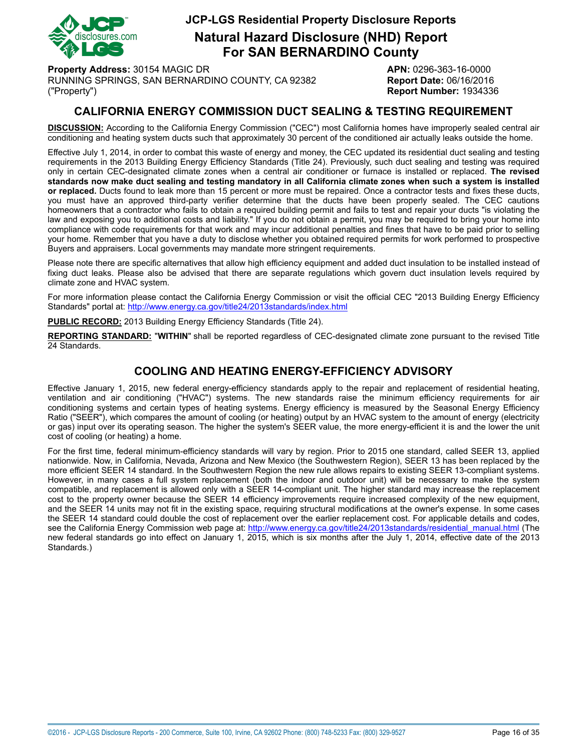

**Natural Hazard Disclosure (NHD) Report For SAN BERNARDINO County**

**Property Address:** 30154 MAGIC DR **APN:** 0296-363-16-0000 RUNNING SPRINGS, SAN BERNARDINO COUNTY, CA 92382 **Report Date:** 06/16/2016 ("Property") **Report Number:** 1934336

## **CALIFORNIA ENERGY COMMISSION DUCT SEALING & TESTING REQUIREMENT**

<span id="page-15-0"></span>**DISCUSSION:** According to the California Energy Commission ("CEC") most California homes have improperly sealed central air conditioning and heating system ducts such that approximately 30 percent of the conditioned air actually leaks outside the home.

Effective July 1, 2014, in order to combat this waste of energy and money, the CEC updated its residential duct sealing and testing requirements in the 2013 Building Energy Efficiency Standards (Title 24). Previously, such duct sealing and testing was required only in certain CEC-designated climate zones when a central air conditioner or furnace is installed or replaced. **The revised** standards now make duct sealing and testing mandatory in all California climate zones when such a system is installed **or replaced.** Ducts found to leak more than 15 percent or more must be repaired. Once a contractor tests and fixes these ducts, you must have an approved third-party verifier determine that the ducts have been properly sealed. The CEC cautions homeowners that a contractor who fails to obtain a required building permit and fails to test and repair your ducts "is violating the law and exposing you to additional costs and liability." If you do not obtain a permit, you may be required to bring your home into compliance with code requirements for that work and may incur additional penalties and fines that have to be paid prior to selling your home. Remember that you have a duty to disclose whether you obtained required permits for work performed to prospective Buyers and appraisers. Local governments may mandate more stringent requirements.

Please note there are specific alternatives that allow high efficiency equipment and added duct insulation to be installed instead of fixing duct leaks. Please also be advised that there are separate regulations which govern duct insulation levels required by climate zone and HVAC system.

For more information please contact the California Energy Commission or visit the official CEC "2013 Building Energy Efficiency Standards" portal at: <http://www.energy.ca.gov/title24/2013standards/index.html>

**PUBLIC RECORD:** 2013 Building Energy Efficiency Standards (Title 24).

**REPORTING STANDARD:** "**WITHIN**" shall be reported regardless of CEC-designated climate zone pursuant to the revised Title 24 Standards.

### **COOLING AND HEATING ENERGY-EFFICIENCY ADVISORY**

Effective January 1, 2015, new federal energy-efficiency standards apply to the repair and replacement of residential heating, ventilation and air conditioning ("HVAC") systems. The new standards raise the minimum efficiency requirements for air conditioning systems and certain types of heating systems. Energy efficiency is measured by the Seasonal Energy Efficiency Ratio ("SEER"), which compares the amount of cooling (or heating) output by an HVAC system to the amount of energy (electricity or gas) input over its operating season. The higher the system's SEER value, the more energy-efficient it is and the lower the unit cost of cooling (or heating) a home.

For the first time, federal minimum-efficiency standards will vary by region. Prior to 2015 one standard, called SEER 13, applied nationwide. Now, in California, Nevada, Arizona and New Mexico (the Southwestern Region), SEER 13 has been replaced by the more efficient SEER 14 standard. In the Southwestern Region the new rule allows repairs to existing SEER 13-compliant systems. However, in many cases a full system replacement (both the indoor and outdoor unit) will be necessary to make the system compatible, and replacement is allowed only with a SEER 14-compliant unit. The higher standard may increase the replacement cost to the property owner because the SEER 14 efficiency improvements require increased complexity of the new equipment, and the SEER 14 units may not fit in the existing space, requiring structural modifications at the owner's expense. In some cases the SEER 14 standard could double the cost of replacement over the earlier replacement cost. For applicable details and codes, see the California Energy Commission web page at: [http://www.energy.ca.gov/title24/2013standards/residential\\_manual.html](http://www.energy.ca.gov/title24/2013standards/residential_manual.html) (The new federal standards go into effect on January 1, 2015, which is six months after the July 1, 2014, effective date of the 2013 Standards.)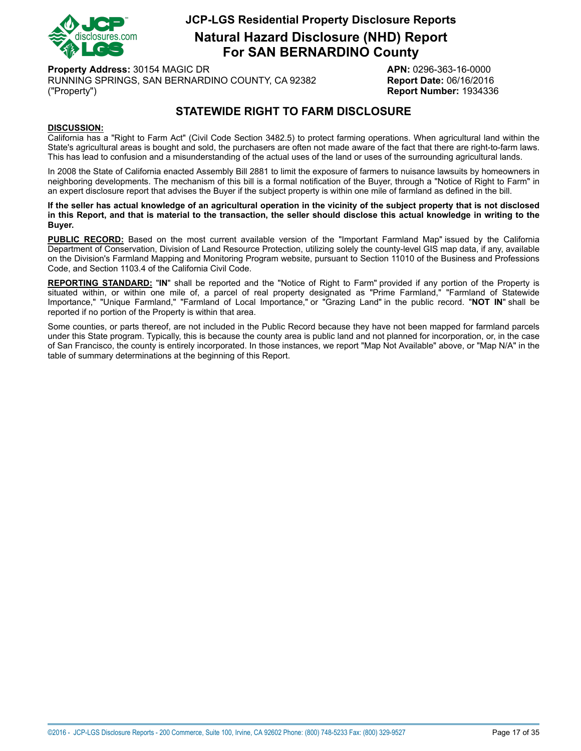

**Natural Hazard Disclosure (NHD) Report For SAN BERNARDINO County**

**Property Address:** 30154 MAGIC DR **APN:** 0296-363-16-0000 RUNNING SPRINGS, SAN BERNARDINO COUNTY, CA 92382 **Report Date:** 06/16/2016 ("Property") **Report Number:** 1934336

# **STATEWIDE RIGHT TO FARM DISCLOSURE**

#### <span id="page-16-0"></span>**DISCUSSION:**

California has a "Right to Farm Act" (Civil Code Section 3482.5) to protect farming operations. When agricultural land within the State's agricultural areas is bought and sold, the purchasers are often not made aware of the fact that there are right-to-farm laws. This has lead to confusion and a misunderstanding of the actual uses of the land or uses of the surrounding agricultural lands.

In 2008 the State of California enacted Assembly Bill 2881 to limit the exposure of farmers to nuisance lawsuits by homeowners in neighboring developments. The mechanism of this bill is a formal notification of the Buyer, through a "Notice of Right to Farm" in an expert disclosure report that advises the Buyer if the subject property is within one mile of farmland as defined in the bill.

If the seller has actual knowledge of an agricultural operation in the vicinity of the subject property that is not disclosed in this Report, and that is material to the transaction, the seller should disclose this actual knowledge in writing to the **Buyer.**

**PUBLIC RECORD:** Based on the most current available version of the "Important Farmland Map" issued by the California Department of Conservation, Division of Land Resource Protection, utilizing solely the county-level GIS map data, if any, available on the Division's Farmland Mapping and Monitoring Program website, pursuant to Section 11010 of the Business and Professions Code, and Section 1103.4 of the California Civil Code.

**REPORTING STANDARD:** "**IN**" shall be reported and the "Notice of Right to Farm" provided if any portion of the Property is situated within, or within one mile of, a parcel of real property designated as "Prime Farmland," "Farmland of Statewide Importance," "Unique Farmland," "Farmland of Local Importance," or "Grazing Land" in the public record. "**NOT IN**" shall be reported if no portion of the Property is within that area.

Some counties, or parts thereof, are not included in the Public Record because they have not been mapped for farmland parcels under this State program. Typically, this is because the county area is public land and not planned for incorporation, or, in the case of San Francisco, the county is entirely incorporated. In those instances, we report "Map Not Available" above, or "Map N/A" in the table of summary determinations at the beginning of this Report.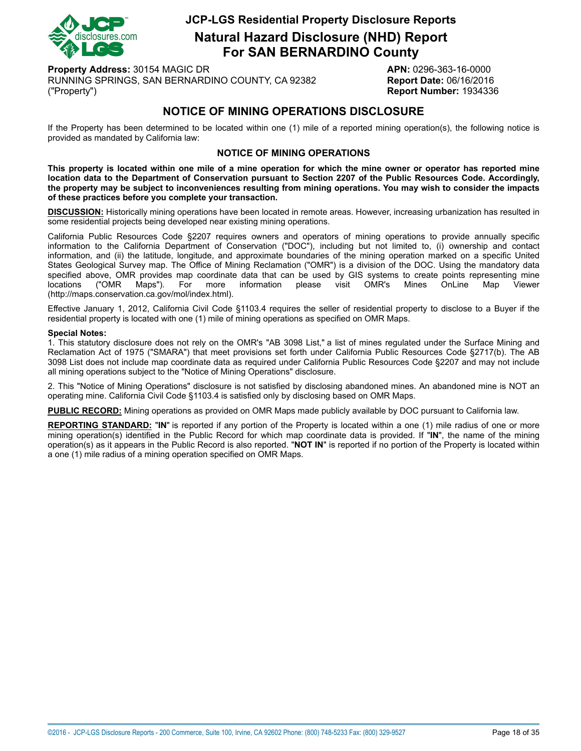

**Natural Hazard Disclosure (NHD) Report For SAN BERNARDINO County**

**Property Address:** 30154 MAGIC DR **APN:** 0296-363-16-0000 RUNNING SPRINGS, SAN BERNARDINO COUNTY, CA 92382 **Report Date:** 06/16/2016 ("Property") **Report Number:** 1934336

## **NOTICE OF MINING OPERATIONS DISCLOSURE**

<span id="page-17-0"></span>If the Property has been determined to be located within one (1) mile of a reported mining operation(s), the following notice is provided as mandated by California law:

#### **NOTICE OF MINING OPERATIONS**

This property is located within one mile of a mine operation for which the mine owner or operator has reported mine location data to the Department of Conservation pursuant to Section 2207 of the Public Resources Code. Accordingly, the property may be subject to inconveniences resulting from mining operations. You may wish to consider the impacts **of these practices before you complete your transaction.**

**DISCUSSION:** Historically mining operations have been located in remote areas. However, increasing urbanization has resulted in some residential projects being developed near existing mining operations.

California Public Resources Code §2207 requires owners and operators of mining operations to provide annually specific information to the California Department of Conservation ("DOC"), including but not limited to, (i) ownership and contact information, and (ii) the latitude, longitude, and approximate boundaries of the mining operation marked on a specific United States Geological Survey map. The Office of Mining Reclamation ("OMR") is a division of the DOC. Using the mandatory data specified above, OMR provides map coordinate data that can be used by GIS systems to create points representing mine<br>locations ("OMR Maps"). For more information please visit OMR's Mines OnLine Map Viewer locations ("OMR Maps"). For more information please visit OMR's Mines OnLine Map Viewer (http://maps.conservation.ca.gov/mol/index.html).

Effective January 1, 2012, California Civil Code §1103.4 requires the seller of residential property to disclose to a Buyer if the residential property is located with one (1) mile of mining operations as specified on OMR Maps.

#### **Special Notes:**

1. This statutory disclosure does not rely on the OMR's "AB 3098 List," a list of mines regulated under the Surface Mining and Reclamation Act of 1975 ("SMARA") that meet provisions set forth under California Public Resources Code §2717(b). The AB 3098 List does not include map coordinate data as required under California Public Resources Code §2207 and may not include all mining operations subject to the "Notice of Mining Operations" disclosure.

2. This "Notice of Mining Operations" disclosure is not satisfied by disclosing abandoned mines. An abandoned mine is NOT an operating mine. California Civil Code §1103.4 is satisfied only by disclosing based on OMR Maps.

**PUBLIC RECORD:** Mining operations as provided on OMR Maps made publicly available by DOC pursuant to California law.

**REPORTING STANDARD:** "**IN**" is reported if any portion of the Property is located within a one (1) mile radius of one or more mining operation(s) identified in the Public Record for which map coordinate data is provided. If "**IN**", the name of the mining operation(s) as it appears in the Public Record is also reported. "**NOT IN**" is reported if no portion of the Property is located within a one (1) mile radius of a mining operation specified on OMR Maps.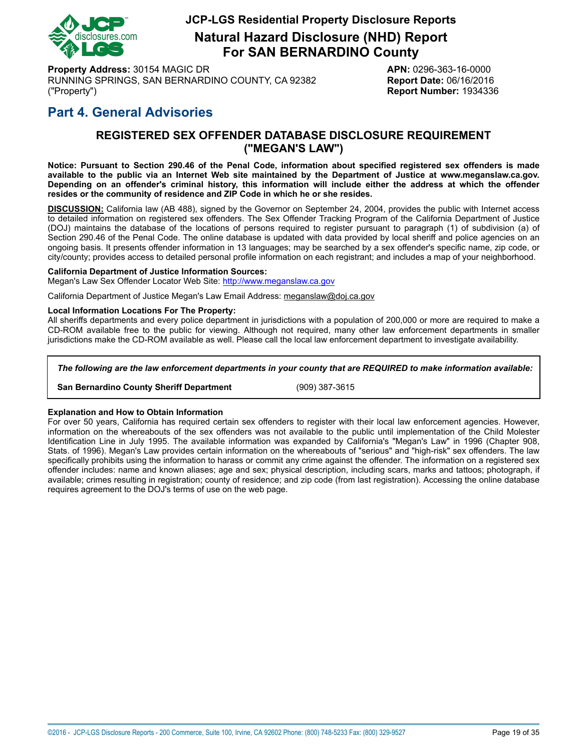

**Natural Hazard Disclosure (NHD) Report For SAN BERNARDINO County**

**Property Address:** 30154 MAGIC DR **APN:** 0296-363-16-0000 RUNNING SPRINGS, SAN BERNARDINO COUNTY, CA 92382 **Report Date:** 06/16/2016 ("Property") **Report Number:** 1934336

# <span id="page-18-0"></span>**Part 4. General Advisories**

### **REGISTERED SEX OFFENDER DATABASE DISCLOSURE REQUIREMENT ("MEGAN'S LAW")**

Notice: Pursuant to Section 290.46 of the Penal Code, information about specified registered sex offenders is made available to the public via an Internet Web site maintained by the Department of Justice at www.meganslaw.ca.gov. Depending on an offender's criminal history, this information will include either the address at which the offender **resides or the community of residence and ZIP Code in which he or she resides.**

**DISCUSSION:** California law (AB 488), signed by the Governor on September 24, 2004, provides the public with Internet access to detailed information on registered sex offenders. The Sex Offender Tracking Program of the California Department of Justice (DOJ) maintains the database of the locations of persons required to register pursuant to paragraph (1) of subdivision (a) of Section 290.46 of the Penal Code. The online database is updated with data provided by local sheriff and police agencies on an ongoing basis. It presents offender information in 13 languages; may be searched by a sex offender's specific name, zip code, or city/county; provides access to detailed personal profile information on each registrant; and includes a map of your neighborhood.

#### **California Department of Justice Information Sources:**

Megan's Law Sex Offender Locator Web Site: <http://www.meganslaw.ca.gov>

California Department of Justice Megan's Law Email Address: meganslaw@doj.ca.gov

#### **Local Information Locations For The Property:**

All sheriffs departments and every police department in jurisdictions with a population of 200,000 or more are required to make a CD-ROM available free to the public for viewing. Although not required, many other law enforcement departments in smaller jurisdictions make the CD-ROM available as well. Please call the local law enforcement department to investigate availability.

#### *The following are the law enforcement departments in your county that are REQUIRED to make information available:*

**San Bernardino County Sheriff Department** (909) 387-3615

#### **Explanation and How to Obtain Information**

For over 50 years, California has required certain sex offenders to register with their local law enforcement agencies. However, information on the whereabouts of the sex offenders was not available to the public until implementation of the Child Molester Identification Line in July 1995. The available information was expanded by California's "Megan's Law" in 1996 (Chapter 908, Stats. of 1996). Megan's Law provides certain information on the whereabouts of "serious" and "high-risk" sex offenders. The law specifically prohibits using the information to harass or commit any crime against the offender. The information on a registered sex offender includes: name and known aliases; age and sex; physical description, including scars, marks and tattoos; photograph, if available; crimes resulting in registration; county of residence; and zip code (from last registration). Accessing the online database requires agreement to the DOJ's terms of use on the web page.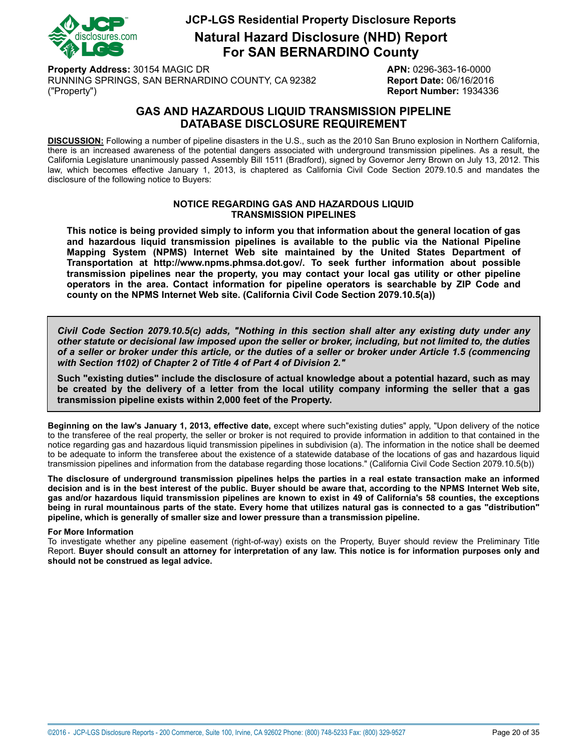

**Natural Hazard Disclosure (NHD) Report For SAN BERNARDINO County**

**Property Address:** 30154 MAGIC DR **APN:** 0296-363-16-0000 RUNNING SPRINGS, SAN BERNARDINO COUNTY, CA 92382 **Report Date:** 06/16/2016 ("Property") **Report Number:** 1934336

## **GAS AND HAZARDOUS LIQUID TRANSMISSION PIPELINE DATABASE DISCLOSURE REQUIREMENT**

<span id="page-19-0"></span>**DISCUSSION:** Following a number of pipeline disasters in the U.S., such as the 2010 San Bruno explosion in Northern California, there is an increased awareness of the potential dangers associated with underground transmission pipelines. As a result, the California Legislature unanimously passed Assembly Bill 1511 (Bradford), signed by Governor Jerry Brown on July 13, 2012. This law, which becomes effective January 1, 2013, is chaptered as California Civil Code Section 2079.10.5 and mandates the disclosure of the following notice to Buyers:

#### **NOTICE REGARDING GAS AND HAZARDOUS LIQUID TRANSMISSION PIPELINES**

**This notice is being provided simply to inform you that information about the general location of gas and hazardous liquid transmission pipelines is available to the public via the National Pipeline Mapping System (NPMS) Internet Web site maintained by the United States Department of Transportation at http://www.npms.phmsa.dot.gov/. To seek further information about possible transmission pipelines near the property, you may contact your local gas utility or other pipeline operators in the area. Contact information for pipeline operators is searchable by ZIP Code and county on the NPMS Internet Web site. (California Civil Code Section 2079.10.5(a))**

*Civil Code Section 2079.10.5(c) adds, "Nothing in this section shall alter any existing duty under any* other statute or decisional law imposed upon the seller or broker, including, but not limited to, the duties of a seller or broker under this article, or the duties of a seller or broker under Article 1.5 (commencing *with Section 1102) of Chapter 2 of Title 4 of Part 4 of Division 2."*

**Such "existing duties" include the disclosure of actual knowledge about a potential hazard, such as may** be created by the delivery of a letter from the local utility company informing the seller that a gas **transmission pipeline exists within 2,000 feet of the Property.**

**Beginning on the law's January 1, 2013, effective date,** except where such"existing duties" apply, "Upon delivery of the notice to the transferee of the real property, the seller or broker is not required to provide information in addition to that contained in the notice regarding gas and hazardous liquid transmission pipelines in subdivision (a). The information in the notice shall be deemed to be adequate to inform the transferee about the existence of a statewide database of the locations of gas and hazardous liquid transmission pipelines and information from the database regarding those locations." (California Civil Code Section 2079.10.5(b))

The disclosure of underground transmission pipelines helps the parties in a real estate transaction make an informed decision and is in the best interest of the public. Buver should be aware that, according to the NPMS Internet Web site. gas and/or hazardous liguid transmission pipelines are known to exist in 49 of California's 58 counties, the exceptions being in rural mountainous parts of the state. Every home that utilizes natural gas is connected to a gas "distribution" **pipeline, which is generally of smaller size and lower pressure than a transmission pipeline.**

#### **For More Information**

To investigate whether any pipeline easement (right-of-way) exists on the Property, Buyer should review the Preliminary Title Report. Buyer should consult an attorney for interpretation of any law. This notice is for information purposes only and **should not be construed as legal advice.**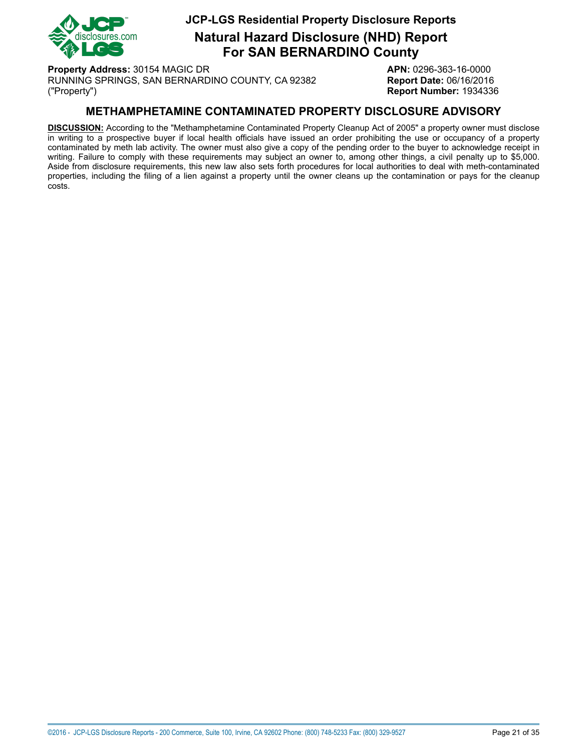

**Natural Hazard Disclosure (NHD) Report For SAN BERNARDINO County**

**Property Address:** 30154 MAGIC DR **APN:** 0296-363-16-0000 RUNNING SPRINGS, SAN BERNARDINO COUNTY, CA 92382 **Report Date:** 06/16/2016 ("Property") **Report Number:** 1934336

### **METHAMPHETAMINE CONTAMINATED PROPERTY DISCLOSURE ADVISORY**

<span id="page-20-0"></span>**DISCUSSION:** According to the "Methamphetamine Contaminated Property Cleanup Act of 2005" a property owner must disclose in writing to a prospective buyer if local health officials have issued an order prohibiting the use or occupancy of a property contaminated by meth lab activity. The owner must also give a copy of the pending order to the buyer to acknowledge receipt in writing. Failure to comply with these requirements may subject an owner to, among other things, a civil penalty up to \$5,000. Aside from disclosure requirements, this new law also sets forth procedures for local authorities to deal with meth-contaminated properties, including the filing of a lien against a property until the owner cleans up the contamination or pays for the cleanup costs.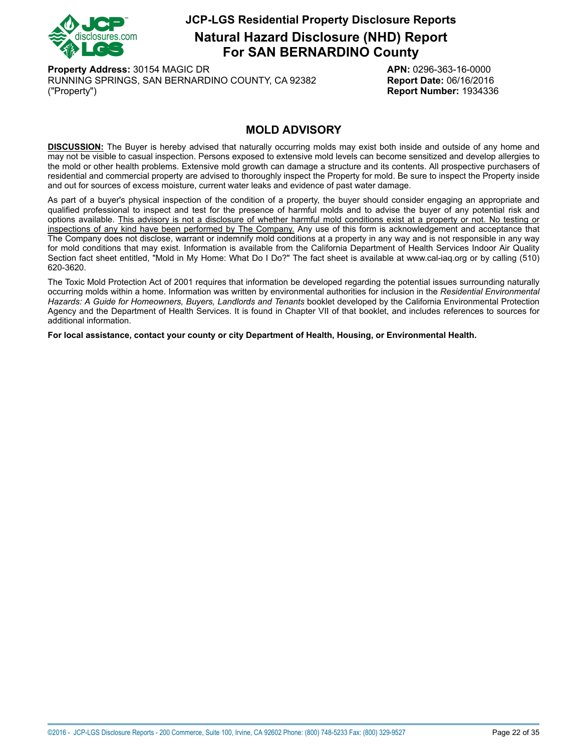

**Natural Hazard Disclosure (NHD) Report For SAN BERNARDINO County**

**Property Address:** 30154 MAGIC DR **APN:** 0296-363-16-0000 RUNNING SPRINGS, SAN BERNARDINO COUNTY, CA 92382 **Report Date:** 06/16/2016 ("Property") **Report Number:** 1934336

### **MOLD ADVISORY**

<span id="page-21-0"></span>**DISCUSSION:** The Buyer is hereby advised that naturally occurring molds may exist both inside and outside of any home and may not be visible to casual inspection. Persons exposed to extensive mold levels can become sensitized and develop allergies to the mold or other health problems. Extensive mold growth can damage a structure and its contents. All prospective purchasers of residential and commercial property are advised to thoroughly inspect the Property for mold. Be sure to inspect the Property inside and out for sources of excess moisture, current water leaks and evidence of past water damage.

As part of a buyer's physical inspection of the condition of a property, the buyer should consider engaging an appropriate and qualified professional to inspect and test for the presence of harmful molds and to advise the buyer of any potential risk and options available. This advisory is not a disclosure of whether harmful mold conditions exist at a property or not. No testing or inspections of any kind have been performed by The Company. Any use of this form is acknowledgement and acceptance that The Company does not disclose, warrant or indemnify mold conditions at a property in any way and is not responsible in any way for mold conditions that may exist. Information is available from the California Department of Health Services Indoor Air Quality Section fact sheet entitled, "Mold in My Home: What Do I Do?" The fact sheet is available at www.cal-iaq.org or by calling (510) 620-3620.

The Toxic Mold Protection Act of 2001 requires that information be developed regarding the potential issues surrounding naturally occurring molds within a home. Information was written by environmental authorities for inclusion in the *Residential Environmental Hazards: A Guide for Homeowners, Buyers, Landlords and Tenants* booklet developed by the California Environmental Protection Agency and the Department of Health Services. It is found in Chapter VII of that booklet, and includes references to sources for additional information.

**For local assistance, contact your county or city Department of Health, Housing, or Environmental Health.**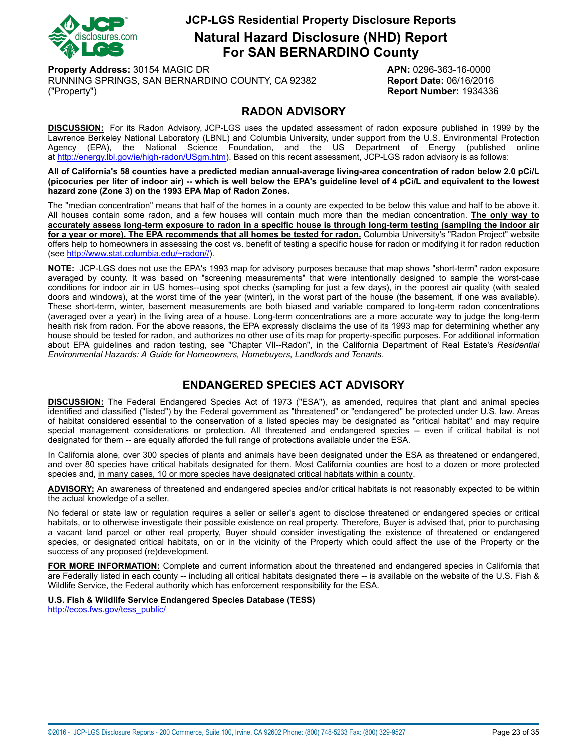

**Natural Hazard Disclosure (NHD) Report For SAN BERNARDINO County**

**Property Address:** 30154 MAGIC DR **APN:** 0296-363-16-0000 RUNNING SPRINGS, SAN BERNARDINO COUNTY, CA 92382 **Report Date:** 06/16/2016 ("Property") **Report Number:** 1934336

### **RADON ADVISORY**

<span id="page-22-0"></span>**DISCUSSION:** For its Radon Advisory, JCP-LGS uses the updated assessment of radon exposure published in 1999 by the Lawrence Berkeley National Laboratory (LBNL) and Columbia University, under support from the U.S. Environmental Protection Agency (EPA), the National Science Foundation, and the US Department of Energy (published online at<http://energy.lbl.gov/ie/high-radon/USgm.htm>). Based on this recent assessment, JCP-LGS radon advisory is as follows:

All of California's 58 counties have a predicted median annual-average living-area concentration of radon below 2.0 pCi/L (picocuries per liter of indoor air) -- which is well below the EPA's guideline level of 4 pCi/L and equivalent to the lowest **hazard zone (Zone 3) on the 1993 EPA Map of Radon Zones.**

The "median concentration" means that half of the homes in a county are expected to be below this value and half to be above it. All houses contain some radon, and a few houses will contain much more than the median concentration. **The only way to** accurately assess long-term exposure to radon in a specific house is through long-term testing (sampling the indoor air for a year or more). The EPA recommends that all homes be tested for radon. Columbia University's "Radon Project" website offers help to homeowners in assessing the cost vs. benefit of testing a specific house for radon or modifying it for radon reduction (see [http://www.stat.columbia.edu/~radon//\)](http://www.stat.columbia.edu/~radon/).

**NOTE:** JCP-LGS does not use the EPA's 1993 map for advisory purposes because that map shows "short-term" radon exposure averaged by county. It was based on "screening measurements" that were intentionally designed to sample the worst-case conditions for indoor air in US homes--using spot checks (sampling for just a few days), in the poorest air quality (with sealed doors and windows), at the worst time of the year (winter), in the worst part of the house (the basement, if one was available). These short-term, winter, basement measurements are both biased and variable compared to long-term radon concentrations (averaged over a year) in the living area of a house. Long-term concentrations are a more accurate way to judge the long-term health risk from radon. For the above reasons, the EPA expressly disclaims the use of its 1993 map for determining whether any house should be tested for radon, and authorizes no other use of its map for property-specific purposes. For additional information about EPA guidelines and radon testing, see "Chapter VII--Radon", in the California Department of Real Estate's *Residential Environmental Hazards: A Guide for Homeowners, Homebuyers, Landlords and Tenants*.

# **ENDANGERED SPECIES ACT ADVISORY**

<span id="page-22-1"></span>**DISCUSSION:** The Federal Endangered Species Act of 1973 ("ESA"), as amended, requires that plant and animal species identified and classified ("listed") by the Federal government as "threatened" or "endangered" be protected under U.S. law. Areas of habitat considered essential to the conservation of a listed species may be designated as "critical habitat" and may require special management considerations or protection. All threatened and endangered species -- even if critical habitat is not designated for them -- are equally afforded the full range of protections available under the ESA.

In California alone, over 300 species of plants and animals have been designated under the ESA as threatened or endangered, and over 80 species have critical habitats designated for them. Most California counties are host to a dozen or more protected species and, in many cases, 10 or more species have designated critical habitats within a county.

**ADVISORY:** An awareness of threatened and endangered species and/or critical habitats is not reasonably expected to be within the actual knowledge of a seller.

No federal or state law or regulation requires a seller or seller's agent to disclose threatened or endangered species or critical habitats, or to otherwise investigate their possible existence on real property. Therefore, Buyer is advised that, prior to purchasing a vacant land parcel or other real property, Buyer should consider investigating the existence of threatened or endangered species, or designated critical habitats, on or in the vicinity of the Property which could affect the use of the Property or the success of any proposed (re)development.

**FOR MORE INFORMATION:** Complete and current information about the threatened and endangered species in California that are Federally listed in each county -- including all critical habitats designated there -- is available on the website of the U.S. Fish & Wildlife Service, the Federal authority which has enforcement responsibility for the ESA.

**U.S. Fish & Wildlife Service Endangered Species Database (TESS)**

[http://ecos.fws.gov/tess\\_public/](http://ecos.fws.gov/tess_public/)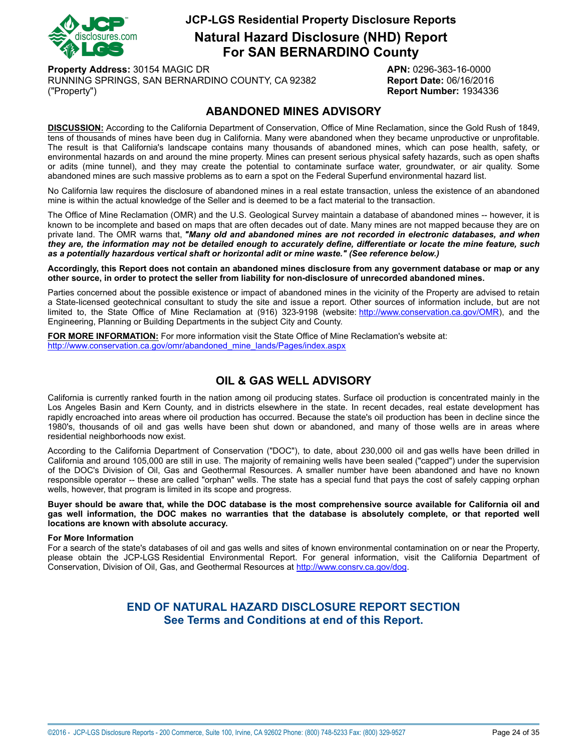

**Natural Hazard Disclosure (NHD) Report For SAN BERNARDINO County**

**Property Address:** 30154 MAGIC DR **APN:** 0296-363-16-0000 RUNNING SPRINGS, SAN BERNARDINO COUNTY, CA 92382 **Report Date:** 06/16/2016 ("Property") **Report Number:** 1934336

### **ABANDONED MINES ADVISORY**

<span id="page-23-0"></span>**DISCUSSION:** According to the California Department of Conservation, Office of Mine Reclamation, since the Gold Rush of 1849, tens of thousands of mines have been dug in California. Many were abandoned when they became unproductive or unprofitable. The result is that California's landscape contains many thousands of abandoned mines, which can pose health, safety, or environmental hazards on and around the mine property. Mines can present serious physical safety hazards, such as open shafts or adits (mine tunnel), and they may create the potential to contaminate surface water, groundwater, or air quality. Some abandoned mines are such massive problems as to earn a spot on the Federal Superfund environmental hazard list.

No California law requires the disclosure of abandoned mines in a real estate transaction, unless the existence of an abandoned mine is within the actual knowledge of the Seller and is deemed to be a fact material to the transaction.

The Office of Mine Reclamation (OMR) and the U.S. Geological Survey maintain a database of abandoned mines -- however, it is known to be incomplete and based on maps that are often decades out of date. Many mines are not mapped because they are on private land. The OMR warns that, *"Many old and abandoned mines are not recorded in electronic databases, and when* they are, the information may not be detailed enough to accurately define, differentiate or locate the mine feature, such *as a potentially hazardous vertical shaft or horizontal adit or mine waste." (See reference below.)*

Accordingly, this Report does not contain an abandoned mines disclosure from any government database or map or any **other source, in order to protect the seller from liability for non-disclosure of unrecorded abandoned mines.**

Parties concerned about the possible existence or impact of abandoned mines in the vicinity of the Property are advised to retain a State-licensed geotechnical consultant to study the site and issue a report. Other sources of information include, but are not limited to, the State Office of Mine Reclamation at (916) 323-9198 (website: <http://www.conservation.ca.gov/OMR>), and the Engineering, Planning or Building Departments in the subject City and County.

**FOR MORE INFORMATION:** For more information visit the State Office of Mine Reclamation's website at: [http://www.conservation.ca.gov/omr/abandoned\\_mine\\_lands/Pages/index.aspx](http://www.conservation.ca.gov/omr/abandoned_mine_lands/Pages/index.aspx)

# **OIL & GAS WELL ADVISORY**

<span id="page-23-1"></span>California is currently ranked fourth in the nation among oil producing states. Surface oil production is concentrated mainly in the Los Angeles Basin and Kern County, and in districts elsewhere in the state. In recent decades, real estate development has rapidly encroached into areas where oil production has occurred. Because the state's oil production has been in decline since the 1980's, thousands of oil and gas wells have been shut down or abandoned, and many of those wells are in areas where residential neighborhoods now exist.

According to the California Department of Conservation ("DOC"), to date, about 230,000 oil and gas wells have been drilled in California and around 105,000 are still in use. The majority of remaining wells have been sealed ("capped") under the supervision of the DOC's Division of Oil, Gas and Geothermal Resources. A smaller number have been abandoned and have no known responsible operator -- these are called "orphan" wells. The state has a special fund that pays the cost of safely capping orphan wells, however, that program is limited in its scope and progress.

Buyer should be aware that, while the DOC database is the most comprehensive source available for California oil and gas well information, the DOC makes no warranties that the database is absolutely complete, or that reported well **locations are known with absolute accuracy.**

#### **For More Information**

For a search of the state's databases of oil and gas wells and sites of known environmental contamination on or near the Property, please obtain the JCP-LGS Residential Environmental Report. For general information, visit the California Department of Conservation, Division of Oil, Gas, and Geothermal Resources at [http://www.consrv.ca.gov/dog.](http://www.consrv.ca.gov/dog)

### **END OF NATURAL HAZARD DISCLOSURE REPORT SECTION See Terms and Conditions at end of this Report.**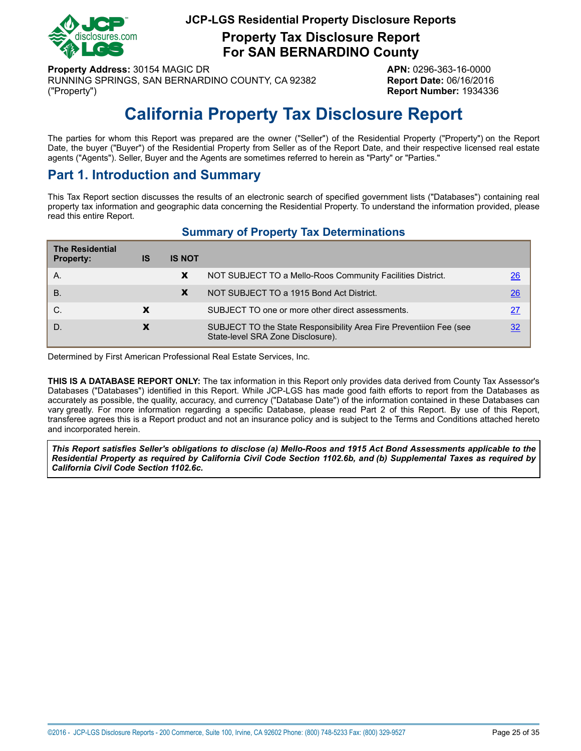

**Property Tax Disclosure Report For SAN BERNARDINO County**

**Property Address:** 30154 MAGIC DR **APN:** 0296-363-16-0000 RUNNING SPRINGS, SAN BERNARDINO COUNTY, CA 92382 **Report Date:** 06/16/2016 ("Property") **Report Number:** 1934336

# **California Property Tax Disclosure Report**

<span id="page-24-0"></span>The parties for whom this Report was prepared are the owner ("Seller") of the Residential Property ("Property") on the Report Date, the buyer ("Buyer") of the Residential Property from Seller as of the Report Date, and their respective licensed real estate agents ("Agents"). Seller, Buyer and the Agents are sometimes referred to herein as "Party" or "Parties."

# **Part 1. Introduction and Summary**

This Tax Report section discusses the results of an electronic search of specified government lists ("Databases") containing real property tax information and geographic data concerning the Residential Property. To understand the information provided, please read this entire Report.

|  |  |  | <b>Summary of Property Tax Determinations</b> |
|--|--|--|-----------------------------------------------|
|--|--|--|-----------------------------------------------|

| <b>The Residential</b><br><b>Property:</b> | IS | <b>IS NOT</b> |                                                                                                         |    |
|--------------------------------------------|----|---------------|---------------------------------------------------------------------------------------------------------|----|
| Α.                                         |    | X             | NOT SUBJECT TO a Mello-Roos Community Facilities District.                                              | 26 |
| <b>B.</b>                                  |    | X             | NOT SUBJECT TO a 1915 Bond Act District.                                                                | 26 |
| C.                                         |    |               | SUBJECT TO one or more other direct assessments.                                                        | 27 |
| D.                                         | X  |               | SUBJECT TO the State Responsibility Area Fire Preventiion Fee (see<br>State-level SRA Zone Disclosure). |    |

Determined by First American Professional Real Estate Services, Inc.

**THIS IS A DATABASE REPORT ONLY:** The tax information in this Report only provides data derived from County Tax Assessor's Databases ("Databases") identified in this Report. While JCP-LGS has made good faith efforts to report from the Databases as accurately as possible, the quality, accuracy, and currency ("Database Date") of the information contained in these Databases can vary greatly. For more information regarding a specific Database, please read Part 2 of this Report. By use of this Report, transferee agrees this is a Report product and not an insurance policy and is subject to the Terms and Conditions attached hereto and incorporated herein.

This Report satisfies Seller's obligations to disclose (a) Mello-Roos and 1915 Act Bond Assessments applicable to the Residential Property as required by California Civil Code Section 1102.6b, and (b) Supplemental Taxes as required by *California Civil Code Section 1102.6c.*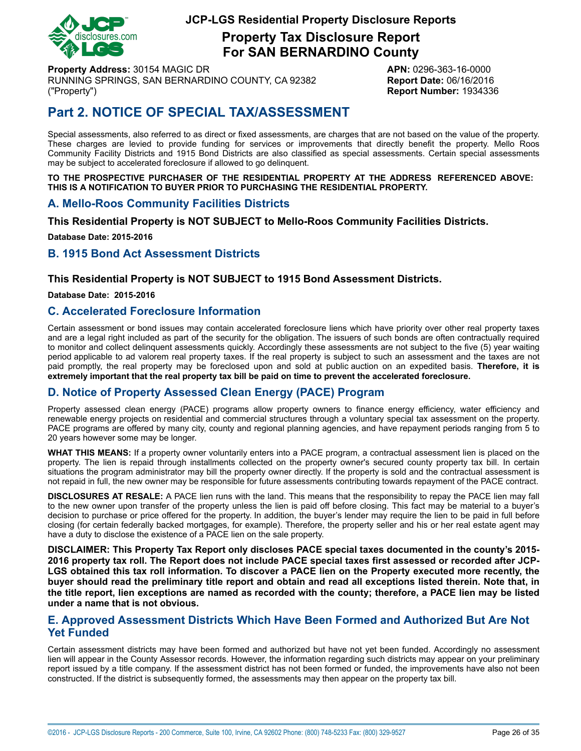

**Property Tax Disclosure Report For SAN BERNARDINO County**

**Property Address:** 30154 MAGIC DR **APN:** 0296-363-16-0000 RUNNING SPRINGS, SAN BERNARDINO COUNTY, CA 92382 **Report Date:** 06/16/2016 ("Property") **Report Number:** 1934336

# **Part 2. NOTICE OF SPECIAL TAX/ASSESSMENT**

Special assessments, also referred to as direct or fixed assessments, are charges that are not based on the value of the property. These charges are levied to provide funding for services or improvements that directly benefit the property. Mello Roos Community Facility Districts and 1915 Bond Districts are also classified as special assessments. Certain special assessments may be subject to accelerated foreclosure if allowed to go delinquent.

**TO THE PROSPECTIVE PURCHASER OF THE RESIDENTIAL PROPERTY AT THE ADDRESS REFERENCED ABOVE: THIS IS A NOTIFICATION TO BUYER PRIOR TO PURCHASING THE RESIDENTIAL PROPERTY.**

### <span id="page-25-0"></span>**A. Mello-Roos Community Facilities Districts**

**This Residential Property is NOT SUBJECT to Mello-Roos Community Facilities Districts.**

**Database Date: 2015-2016**

### <span id="page-25-1"></span>**B. 1915 Bond Act Assessment Districts**

#### **This Residential Property is NOT SUBJECT to 1915 Bond Assessment Districts.**

**Database Date: 2015-2016**

#### **C. Accelerated Foreclosure Information**

Certain assessment or bond issues may contain accelerated foreclosure liens which have priority over other real property taxes and are a legal right included as part of the security for the obligation. The issuers of such bonds are often contractually required to monitor and collect delinquent assessments quickly. Accordingly these assessments are not subject to the five (5) year waiting period applicable to ad valorem real property taxes. If the real property is subject to such an assessment and the taxes are not paid promptly, the real property may be foreclosed upon and sold at public auction on an expedited basis. **Therefore, it is extremely important that the real property tax bill be paid on time to prevent the accelerated foreclosure.**

### **D. Notice of Property Assessed Clean Energy (PACE) Program**

Property assessed clean energy (PACE) programs allow property owners to finance energy efficiency, water efficiency and renewable energy projects on residential and commercial structures through a voluntary special tax assessment on the property. PACE programs are offered by many city, county and regional planning agencies, and have repayment periods ranging from 5 to 20 years however some may be longer.

**WHAT THIS MEANS:** If a property owner voluntarily enters into a PACE program, a contractual assessment lien is placed on the property. The lien is repaid through installments collected on the property owner's secured county property tax bill. In certain situations the program administrator may bill the property owner directly. If the property is sold and the contractual assessment is not repaid in full, the new owner may be responsible for future assessments contributing towards repayment of the PACE contract.

**DISCLOSURES AT RESALE:** A PACE lien runs with the land. This means that the responsibility to repay the PACE lien may fall to the new owner upon transfer of the property unless the lien is paid off before closing. This fact may be material to a buyer's decision to purchase or price offered for the property. In addition, the buyer's lender may require the lien to be paid in full before closing (for certain federally backed mortgages, for example). Therefore, the property seller and his or her real estate agent may have a duty to disclose the existence of a PACE lien on the sale property.

**DISCLAIMER: This Property Tax Report only discloses PACE special taxes documented in the county's 2015-** 2016 property tax roll. The Report does not include PACE special taxes first assessed or recorded after JCP-LGS obtained this tax roll information. To discover a PACE lien on the Property executed more recently, the buyer should read the preliminary title report and obtain and read all exceptions listed therein. Note that, in the title report, lien exceptions are named as recorded with the county; therefore, a PACE lien may be listed **under a name that is not obvious.**

### **E. Approved Assessment Districts Which Have Been Formed and Authorized But Are Not Yet Funded**

Certain assessment districts may have been formed and authorized but have not yet been funded. Accordingly no assessment lien will appear in the County Assessor records. However, the information regarding such districts may appear on your preliminary report issued by a title company. If the assessment district has not been formed or funded, the improvements have also not been constructed. If the district is subsequently formed, the assessments may then appear on the property tax bill.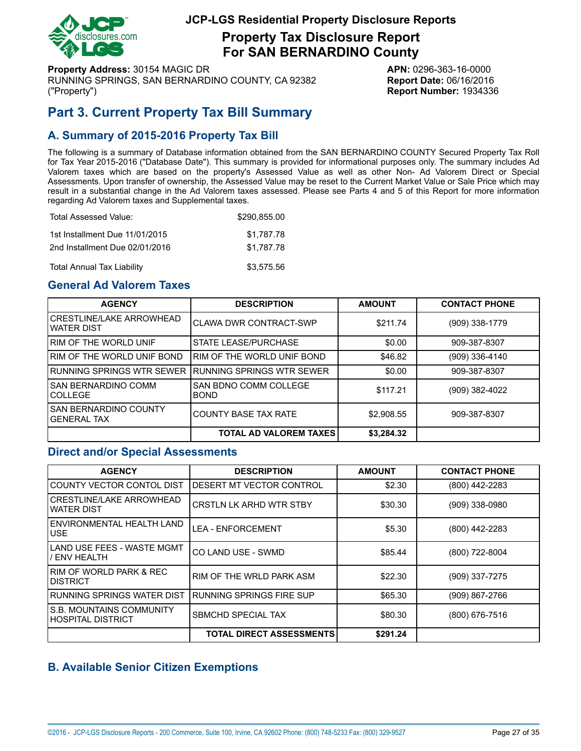

**Property Tax Disclosure Report For SAN BERNARDINO County**

**Property Address:** 30154 MAGIC DR **APN:** 0296-363-16-0000 RUNNING SPRINGS, SAN BERNARDINO COUNTY, CA 92382 **Report Date:** 06/16/2016 ("Property") **Report Number:** 1934336

# <span id="page-26-0"></span>**Part 3. Current Property Tax Bill Summary**

# **A. Summary of 2015-2016 Property Tax Bill**

The following is a summary of Database information obtained from the SAN BERNARDINO COUNTY Secured Property Tax Roll for Tax Year 2015-2016 ("Database Date"). This summary is provided for informational purposes only. The summary includes Ad Valorem taxes which are based on the property's Assessed Value as well as other Non- Ad Valorem Direct or Special Assessments. Upon transfer of ownership, the Assessed Value may be reset to the Current Market Value or Sale Price which may result in a substantial change in the Ad Valorem taxes assessed. Please see Parts 4 and 5 of this Report for more information regarding Ad Valorem taxes and Supplemental taxes.

| Total Assessed Value:             | \$290,855,00 |
|-----------------------------------|--------------|
| 1st Installment Due 11/01/2015    | \$1.787.78   |
| 2nd Installment Due 02/01/2016    | \$1.787.78   |
| <b>Total Annual Tax Liability</b> | \$3,575.56   |

## **General Ad Valorem Taxes**

| <b>AGENCY</b>                                      | <b>DESCRIPTION</b>                   | <b>AMOUNT</b> | <b>CONTACT PHONE</b> |
|----------------------------------------------------|--------------------------------------|---------------|----------------------|
| CRESTLINE/LAKE ARROWHEAD<br>IWATER DIST            | CLAWA DWR CONTRACT-SWP               | \$211.74      | (909) 338-1779       |
| <b>IRIM OF THE WORLD UNIF</b>                      | <b>STATE LEASE/PURCHASE</b>          | \$0.00        | 909-387-8307         |
| I RIM OF THE WORLD UNIF BOND                       | RIM OF THE WORLD UNIF BOND           | \$46.82       | (909) 336-4140       |
| I RUNNING SPRINGS WTR SEWER                        | <b>RUNNING SPRINGS WTR SEWER</b>     | \$0.00        | 909-387-8307         |
| <b>SAN BERNARDINO COMM</b><br>ICOLLEGE             | SAN BDNO COMM COLLEGE<br><b>BOND</b> | \$117.21      | (909) 382-4022       |
| <b>SAN BERNARDINO COUNTY</b><br><b>GENERAL TAX</b> | <b>COUNTY BASE TAX RATE</b>          | \$2,908.55    | 909-387-8307         |
|                                                    | <b>TOTAL AD VALOREM TAXES</b>        | \$3,284.32    |                      |

#### **Direct and/or Special Assessments**

| <b>AGENCY</b>                                        | <b>DESCRIPTION</b>              | <b>AMOUNT</b> | <b>CONTACT PHONE</b> |
|------------------------------------------------------|---------------------------------|---------------|----------------------|
| COUNTY VECTOR CONTOL DIST                            | IDESERT MT VECTOR CONTROL       | \$2.30        | (800) 442-2283       |
| <b>CRESTLINE/LAKE ARROWHEAD</b><br><b>WATER DIST</b> | <b>CRSTLN LK ARHD WTR STBY</b>  | \$30.30       | (909) 338-0980       |
| ENVIRONMENTAL HEALTH LAND<br><b>USE</b>              | <b>LEA - ENFORCEMENT</b>        | \$5.30        | (800) 442-2283       |
| LAND USE FEES - WASTE MGMT<br><b>ENV HEALTH</b>      | CO LAND USE - SWMD              | \$85.44       | (800) 722-8004       |
| I RIM OF WORLD PARK & REC<br>IDISTRICT               | RIM OF THE WRLD PARK ASM        | \$22.30       | (909) 337-7275       |
| RUNNING SPRINGS WATER DIST                           | IRUNNING SPRINGS FIRE SUP       | \$65.30       | (909) 867-2766       |
| IS.B. MOUNTAINS COMMUNITY<br>HOSPITAL DISTRICT       | <b>SBMCHD SPECIAL TAX</b>       | \$80.30       | (800) 676-7516       |
|                                                      | <b>TOTAL DIRECT ASSESSMENTS</b> | \$291.24      |                      |

### **B. Available Senior Citizen Exemptions**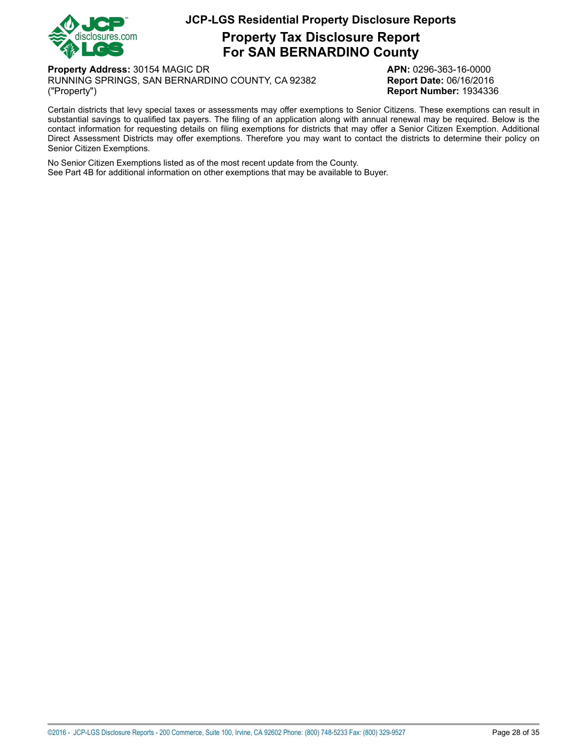

# **Property Tax Disclosure Report For SAN BERNARDINO County**

**Property Address:** 30154 MAGIC DR **APN:** 0296-363-16-0000 RUNNING SPRINGS, SAN BERNARDINO COUNTY, CA 92382 **Report Date:** 06/16/2016 ("Property") **Report Number:** 1934336

Certain districts that levy special taxes or assessments may offer exemptions to Senior Citizens. These exemptions can result in substantial savings to qualified tax payers. The filing of an application along with annual renewal may be required. Below is the contact information for requesting details on filing exemptions for districts that may offer a Senior Citizen Exemption. Additional Direct Assessment Districts may offer exemptions. Therefore you may want to contact the districts to determine their policy on Senior Citizen Exemptions.

No Senior Citizen Exemptions listed as of the most recent update from the County. See Part 4B for additional information on other exemptions that may be available to Buyer.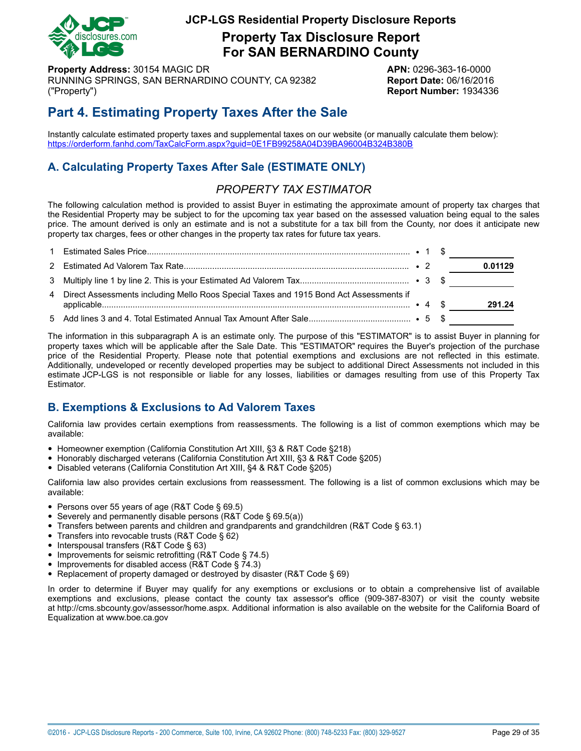

**Property Tax Disclosure Report For SAN BERNARDINO County**

**Property Address:** 30154 MAGIC DR **APN:** 0296-363-16-0000 RUNNING SPRINGS, SAN BERNARDINO COUNTY, CA 92382 **Report Date:** 06/16/2016 ("Property") **Report Number:** 1934336

# **Part 4. Estimating Property Taxes After the Sale**

Instantly calculate estimated property taxes and supplemental taxes on our website (or manually calculate them below): <https://orderform.fanhd.com/TaxCalcForm.aspx?guid=0E1FB99258A04D39BA96004B324B380B>

# **A. Calculating Property Taxes After Sale (ESTIMATE ONLY)**

# *PROPERTY TAX ESTIMATOR*

The following calculation method is provided to assist Buyer in estimating the approximate amount of property tax charges that the Residential Property may be subject to for the upcoming tax year based on the assessed valuation being equal to the sales price. The amount derived is only an estimate and is not a substitute for a tax bill from the County, nor does it anticipate new property tax charges, fees or other changes in the property tax rates for future tax years.

|                                                                                          |  | 0.01129 |
|------------------------------------------------------------------------------------------|--|---------|
|                                                                                          |  |         |
| 4 Direct Assessments including Mello Roos Special Taxes and 1915 Bond Act Assessments if |  | 291.24  |
|                                                                                          |  |         |

The information in this subparagraph A is an estimate only. The purpose of this "ESTIMATOR" is to assist Buyer in planning for property taxes which will be applicable after the Sale Date. This "ESTIMATOR" requires the Buyer's projection of the purchase price of the Residential Property. Please note that potential exemptions and exclusions are not reflected in this estimate. Additionally, undeveloped or recently developed properties may be subject to additional Direct Assessments not included in this estimate JCP-LGS is not responsible or liable for any losses, liabilities or damages resulting from use of this Property Tax Estimator.

# **B. Exemptions & Exclusions to Ad Valorem Taxes**

California law provides certain exemptions from reassessments. The following is a list of common exemptions which may be available:

- Homeowner exemption (California Constitution Art XIII, §3 & R&T Code §218)
- Honorably discharged veterans (California Constitution Art XIII, §3 & R&T Code §205)
- Disabled veterans (California Constitution Art XIII, §4 & R&T Code §205)

California law also provides certain exclusions from reassessment. The following is a list of common exclusions which may be available:

- Persons over 55 years of age (R&T Code § 69.5)
- Severely and permanently disable persons (R&T Code § 69.5(a))
- Transfers between parents and children and grandparents and grandchildren (R&T Code § 63.1)
- Transfers into revocable trusts (R&T Code § 62)
- Interspousal transfers (R&T Code § 63)
- Improvements for seismic retrofitting (R&T Code § 74.5)
- Improvements for disabled access (R&T Code § 74.3)
- Replacement of property damaged or destroyed by disaster (R&T Code § 69)

In order to determine if Buyer may qualify for any exemptions or exclusions or to obtain a comprehensive list of available exemptions and exclusions, please contact the county tax assessor's office (909-387-8307) or visit the county website at http://cms.sbcounty.gov/assessor/home.aspx. Additional information is also available on the website for the California Board of Equalization at www.boe.ca.gov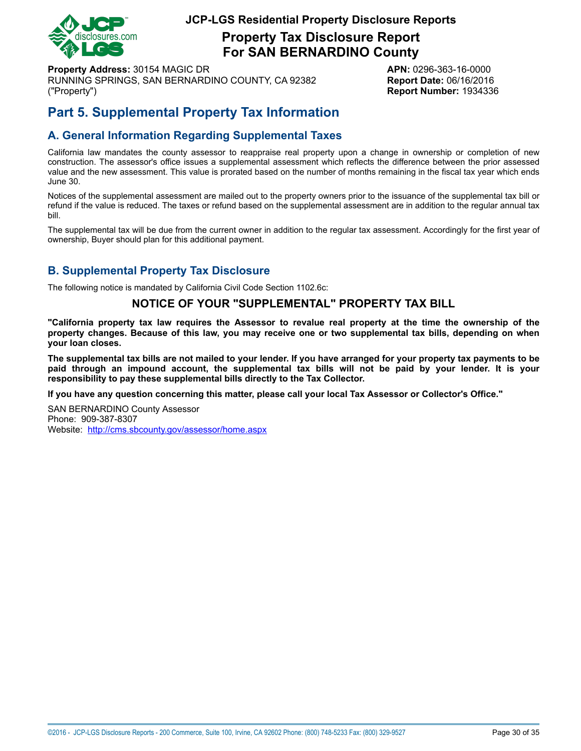

**Property Tax Disclosure Report For SAN BERNARDINO County**

**Property Address:** 30154 MAGIC DR **APN:** 0296-363-16-0000 RUNNING SPRINGS, SAN BERNARDINO COUNTY, CA 92382 **Report Date:** 06/16/2016 ("Property") **Report Number:** 1934336

# **Part 5. Supplemental Property Tax Information**

# **A. General Information Regarding Supplemental Taxes**

California law mandates the county assessor to reappraise real property upon a change in ownership or completion of new construction. The assessor's office issues a supplemental assessment which reflects the difference between the prior assessed value and the new assessment. This value is prorated based on the number of months remaining in the fiscal tax year which ends June 30.

Notices of the supplemental assessment are mailed out to the property owners prior to the issuance of the supplemental tax bill or refund if the value is reduced. The taxes or refund based on the supplemental assessment are in addition to the regular annual tax bill.

The supplemental tax will be due from the current owner in addition to the regular tax assessment. Accordingly for the first year of ownership, Buyer should plan for this additional payment.

# **B. Supplemental Property Tax Disclosure**

The following notice is mandated by California Civil Code Section 1102.6c:

### **NOTICE OF YOUR "SUPPLEMENTAL" PROPERTY TAX BILL**

"California property tax law requires the Assessor to revalue real property at the time the ownership of the property changes. Because of this law, you may receive one or two supplemental tax bills, depending on when **your loan closes.**

The supplemental tax bills are not mailed to your lender. If you have arranged for your property tax payments to be paid through an impound account, the supplemental tax bills will not be paid by your lender. It is your **responsibility to pay these supplemental bills directly to the Tax Collector.**

**If you have any question concerning this matter, please call your local Tax Assessor or Collector's Office."**

SAN BERNARDINO County Assessor Phone: 909-387-8307 Website: <http://cms.sbcounty.gov/assessor/home.aspx>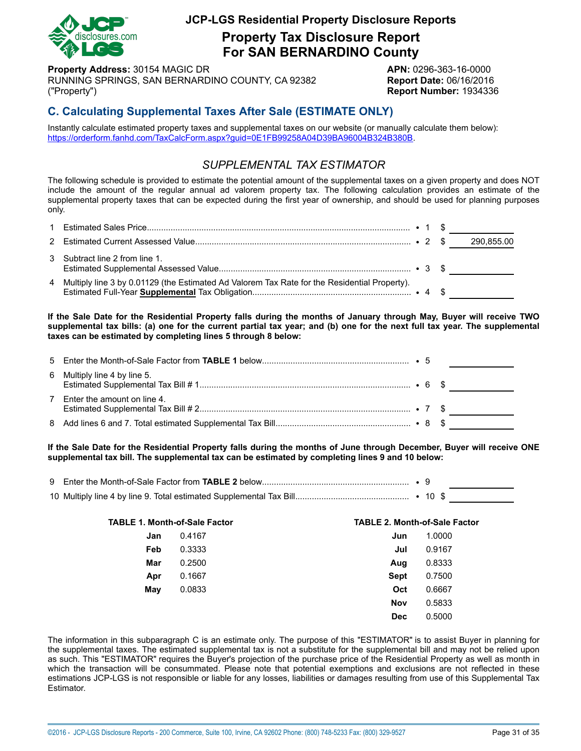

**Property Tax Disclosure Report For SAN BERNARDINO County**

**Property Address:** 30154 MAGIC DR **APN:** 0296-363-16-0000 RUNNING SPRINGS, SAN BERNARDINO COUNTY, CA 92382 **Report Date:** 06/16/2016 ("Property") **Report Number:** 1934336

# **C. Calculating Supplemental Taxes After Sale (ESTIMATE ONLY)**

Instantly calculate estimated property taxes and supplemental taxes on our website (or manually calculate them below): <https://orderform.fanhd.com/TaxCalcForm.aspx?guid=0E1FB99258A04D39BA96004B324B380B>.

# *SUPPLEMENTAL TAX ESTIMATOR*

The following schedule is provided to estimate the potential amount of the supplemental taxes on a given property and does NOT include the amount of the regular annual ad valorem property tax. The following calculation provides an estimate of the supplemental property taxes that can be expected during the first year of ownership, and should be used for planning purposes only.

| 3 Subtract line 2 from line 1.                                                                 |  |  |
|------------------------------------------------------------------------------------------------|--|--|
| 4 Multiply line 3 by 0.01129 (the Estimated Ad Valorem Tax Rate for the Residential Property). |  |  |

If the Sale Date for the Residential Property falls during the months of January through May, Buyer will receive TWO supplemental tax bills: (a) one for the current partial tax year; and (b) one for the next full tax year. The supplemental **taxes can be estimated by completing lines 5 through 8 below:**

| 6 Multiply line 4 by line 5.  |  |  |
|-------------------------------|--|--|
| 7 Enter the amount on line 4. |  |  |
|                               |  |  |

If the Sale Date for the Residential Property falls during the months of June through December, Buyer will receive ONE **supplemental tax bill. The supplemental tax can be estimated by completing lines 9 and 10 below:**

| <b>TABLE 1. Month-of-Sale Factor</b> |        | <b>TABLE 2. Month-of-Sale Factor</b> |        |
|--------------------------------------|--------|--------------------------------------|--------|
| Jan                                  | 0.4167 | Jun                                  | 1.0000 |
| Feb                                  | 0.3333 | Jul                                  | 0.9167 |
| Mar                                  | 0.2500 | Aug                                  | 0.8333 |
| Apr                                  | 0.1667 | Sept                                 | 0.7500 |
| May                                  | 0.0833 | Oct                                  | 0.6667 |
|                                      |        | <b>Nov</b>                           | 0.5833 |
|                                      |        | <b>Dec</b>                           | 0.5000 |

The information in this subparagraph C is an estimate only. The purpose of this "ESTIMATOR" is to assist Buyer in planning for the supplemental taxes. The estimated supplemental tax is not a substitute for the supplemental bill and may not be relied upon as such. This "ESTIMATOR" requires the Buyer's projection of the purchase price of the Residential Property as well as month in which the transaction will be consummated. Please note that potential exemptions and exclusions are not reflected in these estimations JCP-LGS is not responsible or liable for any losses, liabilities or damages resulting from use of this Supplemental Tax Estimator.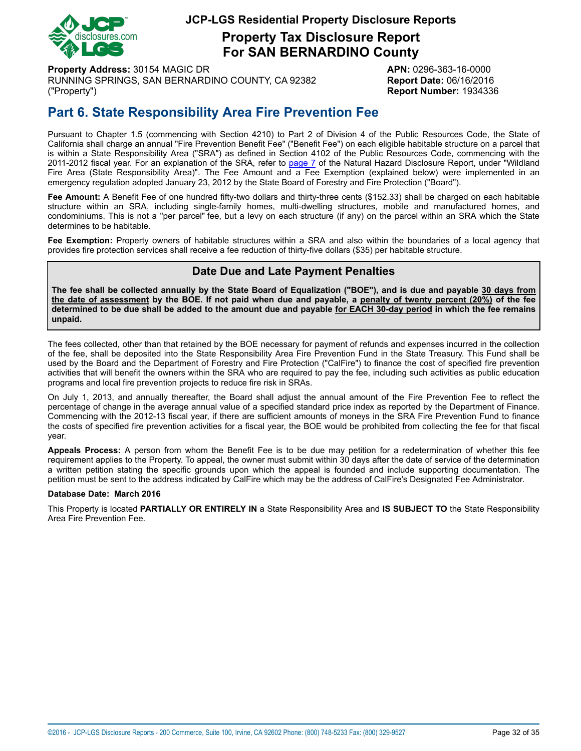

**Property Tax Disclosure Report For SAN BERNARDINO County**

**Property Address:** 30154 MAGIC DR **APN:** 0296-363-16-0000 RUNNING SPRINGS, SAN BERNARDINO COUNTY, CA 92382 **Report Date:** 06/16/2016 ("Property") **Report Number:** 1934336

# <span id="page-31-0"></span>**Part 6. State Responsibility Area Fire Prevention Fee**

Pursuant to Chapter 1.5 (commencing with Section 4210) to Part 2 of Division 4 of the Public Resources Code, the State of California shall charge an annual "Fire Prevention Benefit Fee" ("Benefit Fee") on each eligible habitable structure on a parcel that is within a State Responsibility Area ("SRA") as defined in Section 4102 of the Public Resources Code, commencing with the 2011-2012 fiscal year. For an explanation of the SRA, refer to [page](#page-6-1) 7 of the Natural Hazard Disclosure Report, under "Wildland Fire Area (State Responsibility Area)". The Fee Amount and a Fee Exemption (explained below) were implemented in an emergency regulation adopted January 23, 2012 by the State Board of Forestry and Fire Protection ("Board").

**Fee Amount:** A Benefit Fee of one hundred fifty-two dollars and thirty-three cents (\$152.33) shall be charged on each habitable structure within an SRA, including single-family homes, multi-dwelling structures, mobile and manufactured homes, and condominiums. This is not a "per parcel" fee, but a levy on each structure (if any) on the parcel within an SRA which the State determines to be habitable.

**Fee Exemption:** Property owners of habitable structures within a SRA and also within the boundaries of a local agency that provides fire protection services shall receive a fee reduction of thirty-five dollars (\$35) per habitable structure.

# **Date Due and Late Payment Penalties**

The fee shall be collected annually by the State Board of Equalization ("BOE"), and is due and payable 30 days from the date of assessment by the BOE. If not paid when due and payable, a penalty of twenty percent (20%) of the fee determined to be due shall be added to the amount due and payable for EACH 30-day period in which the fee remains **unpaid.**

The fees collected, other than that retained by the BOE necessary for payment of refunds and expenses incurred in the collection of the fee, shall be deposited into the State Responsibility Area Fire Prevention Fund in the State Treasury. This Fund shall be used by the Board and the Department of Forestry and Fire Protection ("CalFire") to finance the cost of specified fire prevention activities that will benefit the owners within the SRA who are required to pay the fee, including such activities as public education programs and local fire prevention projects to reduce fire risk in SRAs.

On July 1, 2013, and annually thereafter, the Board shall adjust the annual amount of the Fire Prevention Fee to reflect the percentage of change in the average annual value of a specified standard price index as reported by the Department of Finance. Commencing with the 2012-13 fiscal year, if there are sufficient amounts of moneys in the SRA Fire Prevention Fund to finance the costs of specified fire prevention activities for a fiscal year, the BOE would be prohibited from collecting the fee for that fiscal year.

**Appeals Process:** A person from whom the Benefit Fee is to be due may petition for a redetermination of whether this fee requirement applies to the Property. To appeal, the owner must submit within 30 days after the date of service of the determination a written petition stating the specific grounds upon which the appeal is founded and include supporting documentation. The petition must be sent to the address indicated by CalFire which may be the address of CalFire's Designated Fee Administrator.

#### **Database Date: March 2016**

This Property is located **PARTIALLY OR ENTIRELY IN** a State Responsibility Area and **IS SUBJECT TO** the State Responsibility Area Fire Prevention Fee.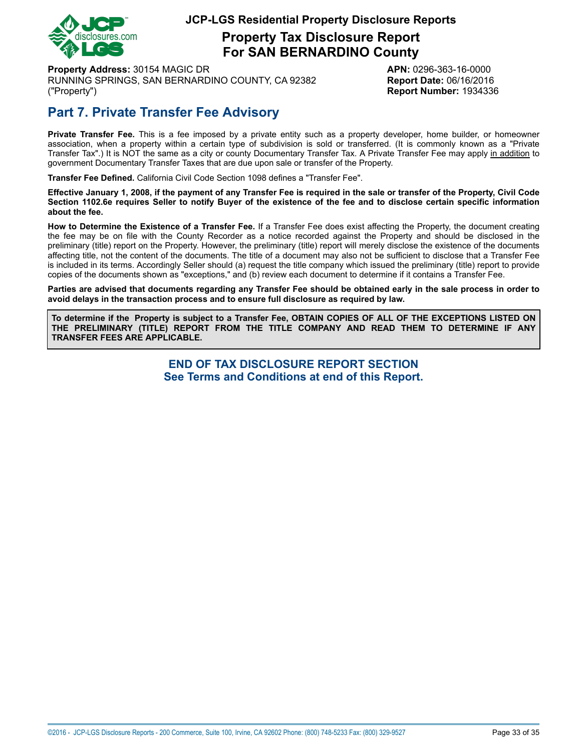

# **Property Tax Disclosure Report For SAN BERNARDINO County**

**Property Address:** 30154 MAGIC DR **APN:** 0296-363-16-0000 RUNNING SPRINGS, SAN BERNARDINO COUNTY, CA 92382 **Report Date:** 06/16/2016 ("Property") **Report Number:** 1934336

# **Part 7. Private Transfer Fee Advisory**

**Private Transfer Fee.** This is a fee imposed by a private entity such as a property developer, home builder, or homeowner association, when a property within a certain type of subdivision is sold or transferred. (It is commonly known as a "Private Transfer Tax".) It is NOT the same as a city or county Documentary Transfer Tax. A Private Transfer Fee may apply in addition to government Documentary Transfer Taxes that are due upon sale or transfer of the Property.

**Transfer Fee Defined.** California Civil Code Section 1098 defines a "Transfer Fee".

Effective January 1, 2008, if the payment of any Transfer Fee is required in the sale or transfer of the Property, Civil Code Section 1102.6e requires Seller to notify Buyer of the existence of the fee and to disclose certain specific information **about the fee.**

**How to Determine the Existence of a Transfer Fee.** If a Transfer Fee does exist affecting the Property, the document creating the fee may be on file with the County Recorder as a notice recorded against the Property and should be disclosed in the preliminary (title) report on the Property. However, the preliminary (title) report will merely disclose the existence of the documents affecting title, not the content of the documents. The title of a document may also not be sufficient to disclose that a Transfer Fee is included in its terms. Accordingly Seller should (a) request the title company which issued the preliminary (title) report to provide copies of the documents shown as "exceptions," and (b) review each document to determine if it contains a Transfer Fee.

Parties are advised that documents regarding any Transfer Fee should be obtained early in the sale process in order to **avoid delays in the transaction process and to ensure full disclosure as required by law.**

To determine if the Property is subject to a Transfer Fee, OBTAIN COPIES OF ALL OF THE EXCEPTIONS LISTED ON **THE PRELIMINARY (TITLE) REPORT FROM THE TITLE COMPANY AND READ THEM TO DETERMINE IF ANY TRANSFER FEES ARE APPLICABLE.**

> **END OF TAX DISCLOSURE REPORT SECTION See Terms and Conditions at end of this Report.**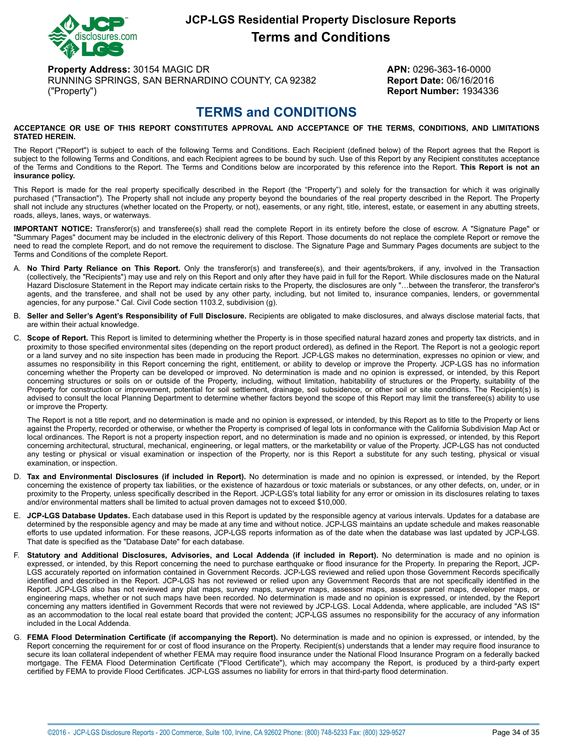

# **JCP-LGS Residential Property Disclosure Reports Terms and Conditions**

**Property Address:** 30154 MAGIC DR **APN:** 0296-363-16-0000 RUNNING SPRINGS, SAN BERNARDINO COUNTY, CA 92382 **Report Date:** 06/16/2016 ("Property") **Report Number:** 1934336

# **TERMS and CONDITIONS**

#### <span id="page-33-0"></span>**ACCEPTANCE OR USE OF THIS REPORT CONSTITUTES APPROVAL AND ACCEPTANCE OF THE TERMS, CONDITIONS, AND LIMITATIONS STATED HEREIN.**

The Report ("Report") is subject to each of the following Terms and Conditions. Each Recipient (defined below) of the Report agrees that the Report is subject to the following Terms and Conditions, and each Recipient agrees to be bound by such. Use of this Report by any Recipient constitutes acceptance of the Terms and Conditions to the Report. The Terms and Conditions below are incorporated by this reference into the Report. **This Report is not an insurance policy.**

This Report is made for the real property specifically described in the Report (the "Property") and solely for the transaction for which it was originally purchased ("Transaction"). The Property shall not include any property beyond the boundaries of the real property described in the Report. The Property shall not include any structures (whether located on the Property, or not), easements, or any right, title, interest, estate, or easement in any abutting streets, roads, alleys, lanes, ways, or waterways.

**IMPORTANT NOTICE:** Transferor(s) and transferee(s) shall read the complete Report in its entirety before the close of escrow. A "Signature Page" or "Summary Pages" document may be included in the electronic delivery of this Report. Those documents do not replace the complete Report or remove the need to read the complete Report, and do not remove the requirement to disclose. The Signature Page and Summary Pages documents are subject to the Terms and Conditions of the complete Report.

- A. **No Third Party Reliance on This Report.** Only the transferor(s) and transferee(s), and their agents/brokers, if any, involved in the Transaction (collectively, the "Recipients") may use and rely on this Report and only after they have paid in full for the Report. While disclosures made on the Natural Hazard Disclosure Statement in the Report may indicate certain risks to the Property, the disclosures are only "…between the transferor, the transferor's agents, and the transferee, and shall not be used by any other party, including, but not limited to, insurance companies, lenders, or governmental agencies, for any purpose." Cal. Civil Code section 1103.2, subdivision (g).
- B. **Seller and Seller's Agent's Responsibility of Full Disclosure.** Recipients are obligated to make disclosures, and always disclose material facts, that are within their actual knowledge.
- C. **Scope of Report.** This Report is limited to determining whether the Property is in those specified natural hazard zones and property tax districts, and in proximity to those specified environmental sites (depending on the report product ordered), as defined in the Report. The Report is not a geologic report or a land survey and no site inspection has been made in producing the Report. JCP-LGS makes no determination, expresses no opinion or view, and assumes no responsibility in this Report concerning the right, entitlement, or ability to develop or improve the Property. JCP-LGS has no information concerning whether the Property can be developed or improved. No determination is made and no opinion is expressed, or intended, by this Report concerning structures or soils on or outside of the Property, including, without limitation, habitability of structures or the Property, suitability of the Property for construction or improvement, potential for soil settlement, drainage, soil subsidence, or other soil or site conditions. The Recipient(s) is advised to consult the local Planning Department to determine whether factors beyond the scope of this Report may limit the transferee(s) ability to use or improve the Property.

The Report is not a title report, and no determination is made and no opinion is expressed, or intended, by this Report as to title to the Property or liens against the Property, recorded or otherwise, or whether the Property is comprised of legal lots in conformance with the California Subdivision Map Act or local ordinances. The Report is not a property inspection report, and no determination is made and no opinion is expressed, or intended, by this Report concerning architectural, structural, mechanical, engineering, or legal matters, or the marketability or value of the Property. JCP-LGS has not conducted any testing or physical or visual examination or inspection of the Property, nor is this Report a substitute for any such testing, physical or visual examination, or inspection.

- D. **Tax and Environmental Disclosures (if included in Report).** No determination is made and no opinion is expressed, or intended, by the Report concerning the existence of property tax liabilities, or the existence of hazardous or toxic materials or substances, or any other defects, on, under, or in proximity to the Property, unless specifically described in the Report. JCP-LGS's total liability for any error or omission in its disclosures relating to taxes and/or environmental matters shall be limited to actual proven damages not to exceed \$10,000.
- E. **JCP-LGS Database Updates.** Each database used in this Report is updated by the responsible agency at various intervals. Updates for a database are determined by the responsible agency and may be made at any time and without notice. JCP-LGS maintains an update schedule and makes reasonable efforts to use updated information. For these reasons, JCP-LGS reports information as of the date when the database was last updated by JCP-LGS. That date is specified as the "Database Date" for each database.
- F. **Statutory and Additional Disclosures, Advisories, and Local Addenda (if included in Report).** No determination is made and no opinion is expressed, or intended, by this Report concerning the need to purchase earthquake or flood insurance for the Property. In preparing the Report, JCP-LGS accurately reported on information contained in Government Records. JCP-LGS reviewed and relied upon those Government Records specifically identified and described in the Report. JCP-LGS has not reviewed or relied upon any Government Records that are not specifically identified in the Report. JCP-LGS also has not reviewed any plat maps, survey maps, surveyor maps, assessor maps, assessor parcel maps, developer maps, or engineering maps, whether or not such maps have been recorded. No determination is made and no opinion is expressed, or intended, by the Report concerning any matters identified in Government Records that were not reviewed by JCP-LGS. Local Addenda, where applicable, are included "AS IS" as an accommodation to the local real estate board that provided the content; JCP-LGS assumes no responsibility for the accuracy of any information included in the Local Addenda.
- G. **FEMA Flood Determination Certificate (if accompanying the Report).** No determination is made and no opinion is expressed, or intended, by the Report concerning the requirement for or cost of flood insurance on the Property. Recipient(s) understands that a lender may require flood insurance to secure its loan collateral independent of whether FEMA may require flood insurance under the National Flood Insurance Program on a federally backed mortgage. The FEMA Flood Determination Certificate ("Flood Certificate"), which may accompany the Report, is produced by a third-party expert certified by FEMA to provide Flood Certificates. JCP-LGS assumes no liability for errors in that third-party flood determination.